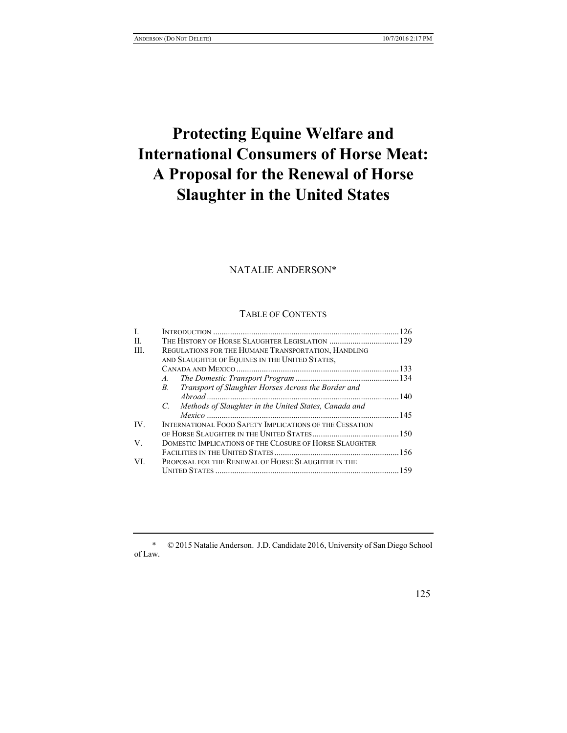# **Protecting Equine Welfare and International Consumers of Horse Meat: A Proposal for the Renewal of Horse Slaughter in the United States**

# NATALIE ANDERSON\*

## TABLE OF CONTENTS

| H.<br>REGULATIONS FOR THE HUMANE TRANSPORTATION, HANDLING<br>HI.<br>AND SLAUGHTER OF EQUINES IN THE UNITED STATES,<br>$A_{\cdot}$<br>Transport of Slaughter Horses Across the Border and<br>$B_{\cdot}$<br>C. Methods of Slaughter in the United States, Canada and<br>INTERNATIONAL FOOD SAFETY IMPLICATIONS OF THE CESSATION<br>IV.<br>DOMESTIC IMPLICATIONS OF THE CLOSURE OF HORSE SLAUGHTER<br>V.<br>PROPOSAL FOR THE RENEWAL OF HORSE SLAUGHTER IN THE<br>VI<br>159 | L |  |
|---------------------------------------------------------------------------------------------------------------------------------------------------------------------------------------------------------------------------------------------------------------------------------------------------------------------------------------------------------------------------------------------------------------------------------------------------------------------------|---|--|
|                                                                                                                                                                                                                                                                                                                                                                                                                                                                           |   |  |
|                                                                                                                                                                                                                                                                                                                                                                                                                                                                           |   |  |
|                                                                                                                                                                                                                                                                                                                                                                                                                                                                           |   |  |
|                                                                                                                                                                                                                                                                                                                                                                                                                                                                           |   |  |
|                                                                                                                                                                                                                                                                                                                                                                                                                                                                           |   |  |
|                                                                                                                                                                                                                                                                                                                                                                                                                                                                           |   |  |
|                                                                                                                                                                                                                                                                                                                                                                                                                                                                           |   |  |
|                                                                                                                                                                                                                                                                                                                                                                                                                                                                           |   |  |
|                                                                                                                                                                                                                                                                                                                                                                                                                                                                           |   |  |
|                                                                                                                                                                                                                                                                                                                                                                                                                                                                           |   |  |
|                                                                                                                                                                                                                                                                                                                                                                                                                                                                           |   |  |
|                                                                                                                                                                                                                                                                                                                                                                                                                                                                           |   |  |
|                                                                                                                                                                                                                                                                                                                                                                                                                                                                           |   |  |
|                                                                                                                                                                                                                                                                                                                                                                                                                                                                           |   |  |
|                                                                                                                                                                                                                                                                                                                                                                                                                                                                           |   |  |

<sup>\*</sup> © 2015 Natalie Anderson. J.D. Candidate 2016, University of San Diego School of Law.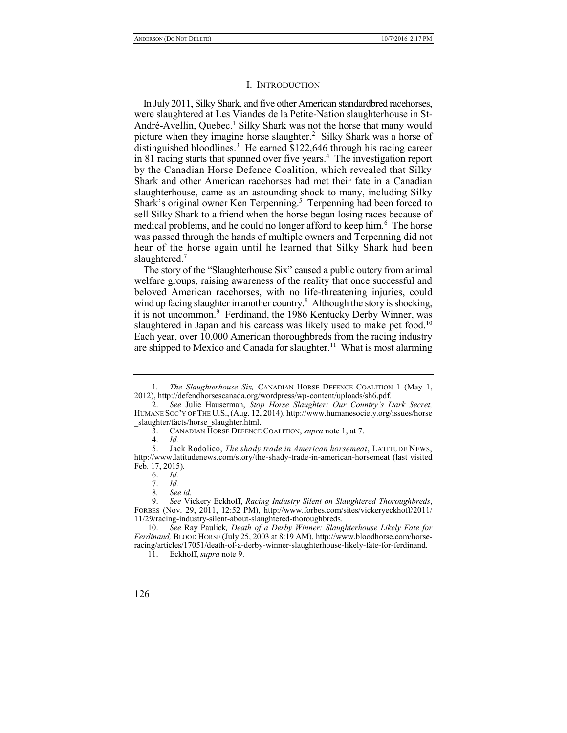#### I. INTRODUCTION

In July 2011, Silky Shark, and five other American standardbred racehorses, were slaughtered at Les Viandes de la Petite-Nation slaughterhouse in St-André-Avellin, Quebec.<sup>1</sup> Silky Shark was not the horse that many would picture when they imagine horse slaughter.<sup>2</sup> Silky Shark was a horse of distinguished bloodlines.<sup>3</sup> He earned \$122,646 through his racing career in 81 racing starts that spanned over five years.<sup>4</sup> The investigation report by the Canadian Horse Defence Coalition, which revealed that Silky Shark and other American racehorses had met their fate in a Canadian slaughterhouse, came as an astounding shock to many, including Silky Shark's original owner Ken Terpenning.<sup>5</sup> Terpenning had been forced to sell Silky Shark to a friend when the horse began losing races because of medical problems, and he could no longer afford to keep him.<sup>6</sup> The horse was passed through the hands of multiple owners and Terpenning did not hear of the horse again until he learned that Silky Shark had been slaughtered.<sup>7</sup>

The story of the "Slaughterhouse Six" caused a public outcry from animal welfare groups, raising awareness of the reality that once successful and beloved American racehorses, with no life-threatening injuries, could wind up facing slaughter in another country.<sup>8</sup> Although the story is shocking, it is not uncommon.<sup>9</sup> Ferdinand, the 1986 Kentucky Derby Winner, was slaughtered in Japan and his carcass was likely used to make pet food.<sup>10</sup> Each year, over 10,000 American thoroughbreds from the racing industry are shipped to Mexico and Canada for slaughter.<sup>11</sup> What is most alarming

<sup>1</sup>*. The Slaughterhouse Six,* CANADIAN HORSE DEFENCE COALITION 1 (May 1, 2012), http://defendhorsescanada.org/wordpress/wp-content/uploads/sh6.pdf.

<sup>2.</sup> *See* Julie Hauserman, *Stop Horse Slaughter: Our Country's Dark Secret,*  HUMANE SOC'Y OF THE U.S.,(Aug. 12, 2014), http://www.humanesociety.org/issues/horse slaughter/facts/horse\_slaughter.html.

<sup>3.</sup> CANADIAN HORSE DEFENCE COALITION, *supra* note 1, at 7.

<sup>4.</sup> *Id.*

<sup>5.</sup> Jack Rodolico, *The shady trade in American horsemeat*, LATITUDE NEWS, http://www.latitudenews.com/story/the-shady-trade-in-american-horsemeat (last visited Feb. 17, 2015).

<sup>6.</sup> *Id.*

<sup>7.</sup> *Id.*

<sup>8</sup>*. See id.*

<sup>9.</sup> *See* Vickery Eckhoff, *Racing Industry Silent on Slaughtered Thoroughbreds*, FORBES (Nov. 29, 2011, 12:52 PM), http://www.forbes.com/sites/vickeryeckhoff/2011/ 11/29/racing-industry-silent-about-slaughtered-thoroughbreds.

<sup>10.</sup> *See* Ray Paulick*, Death of a Derby Winner: Slaughterhouse Likely Fate for Ferdinand,* BLOOD HORSE (July 25, 2003 at 8:19 AM), http://www.bloodhorse.com/horseracing/articles/17051/death-of-a-derby-winner-slaughterhouse-likely-fate-for-ferdinand.

<sup>11.</sup> Eckhoff, *supra* note 9.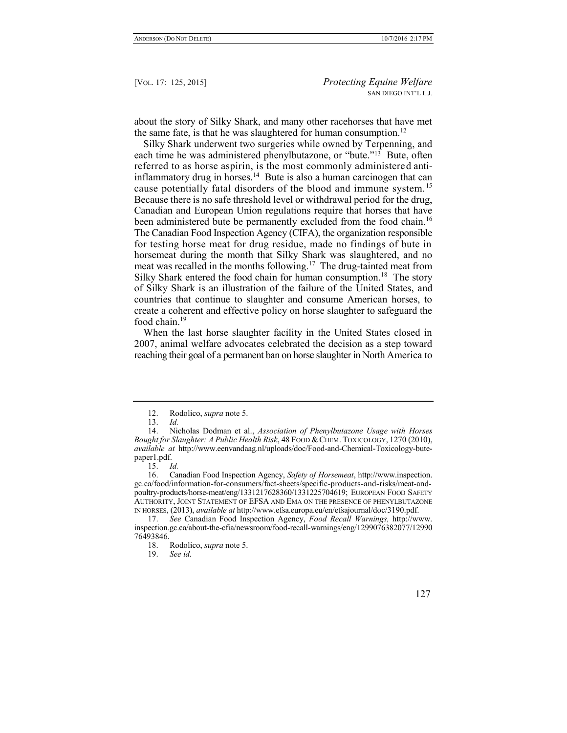about the story of Silky Shark, and many other racehorses that have met the same fate, is that he was slaughtered for human consumption.<sup>12</sup>

Silky Shark underwent two surgeries while owned by Terpenning, and each time he was administered phenylbutazone, or "bute."<sup>13</sup> Bute, often referred to as horse aspirin, is the most commonly administered antiinflammatory drug in horses.<sup>14</sup> Bute is also a human carcinogen that can cause potentially fatal disorders of the blood and immune system.<sup>15</sup> Because there is no safe threshold level or withdrawal period for the drug, Canadian and European Union regulations require that horses that have been administered bute be permanently excluded from the food chain.<sup>16</sup> The Canadian Food Inspection Agency (CIFA), the organization responsible for testing horse meat for drug residue, made no findings of bute in horsemeat during the month that Silky Shark was slaughtered, and no meat was recalled in the months following.<sup>17</sup> The drug-tainted meat from Silky Shark entered the food chain for human consumption.<sup>18</sup> The story of Silky Shark is an illustration of the failure of the United States, and countries that continue to slaughter and consume American horses, to create a coherent and effective policy on horse slaughter to safeguard the food chain.<sup>19</sup>

When the last horse slaughter facility in the United States closed in 2007, animal welfare advocates celebrated the decision as a step toward reaching their goal of a permanent ban on horse slaughter in North America to

<sup>12.</sup> Rodolico, *supra* note 5.

<sup>13.</sup> *Id.*

<sup>14.</sup> Nicholas Dodman et al., *Association of Phenylbutazone Usage with Horses Bought for Slaughter: A Public Health Risk*, 48 FOOD &CHEM. TOXICOLOGY, 1270 (2010), *available at* http://www.eenvandaag.nl/uploads/doc/Food-and-Chemical-Toxicology-butepaper1.pdf.

<sup>15.</sup> *Id.*

<sup>16.</sup> Canadian Food Inspection Agency, *Safety of Horsemeat*, http://www.inspection. gc.ca/food/information-for-consumers/fact-sheets/specific-products-and-risks/meat-andpoultry-products/horse-meat/eng/1331217628360/1331225704619; EUROPEAN FOOD SAFETY AUTHORITY, JOINT STATEMENT OF EFSA AND EMA ON THE PRESENCE OF PHENYLBUTAZONE IN HORSES, (2013), *available at* http://www.efsa.europa.eu/en/efsajournal/doc/3190.pdf.

<sup>17.</sup> *See* Canadian Food Inspection Agency, *Food Recall Warnings,* http://www. inspection.gc.ca/about-the-cfia/newsroom/food-recall-warnings/eng/1299076382077/12990 76493846.

<sup>18.</sup> Rodolico, *supra* note 5.

<sup>19.</sup> *See id.*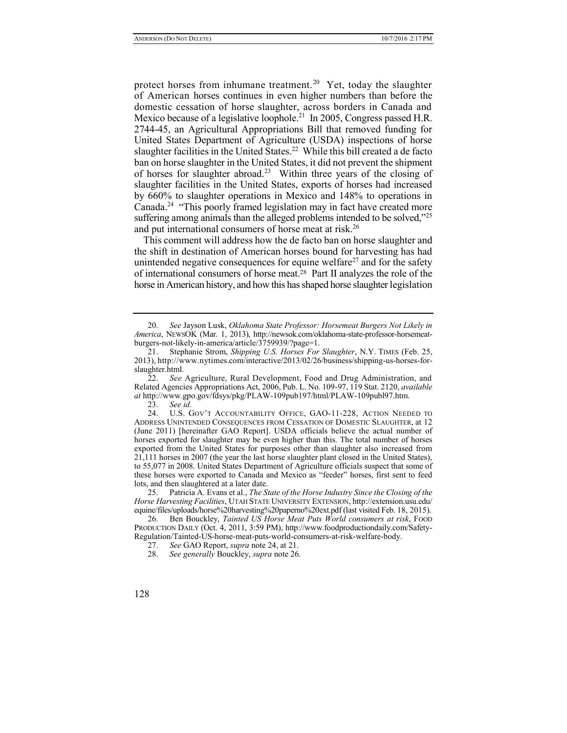protect horses from inhumane treatment.<sup>20</sup> Yet, today the slaughter of American horses continues in even higher numbers than before the domestic cessation of horse slaughter, across borders in Canada and Mexico because of a legislative loophole.<sup>21</sup> In 2005, Congress passed H.R. 2744-45, an Agricultural Appropriations Bill that removed funding for United States Department of Agriculture (USDA) inspections of horse slaughter facilities in the United States.<sup>22</sup> While this bill created a de facto ban on horse slaughter in the United States, it did not prevent the shipment of horses for slaughter abroad.<sup>23</sup> Within three years of the closing of slaughter facilities in the United States, exports of horses had increased by 660% to slaughter operations in Mexico and 148% to operations in Canada.<sup>24</sup> "This poorly framed legislation may in fact have created more suffering among animals than the alleged problems intended to be solved,"<sup>25</sup> and put international consumers of horse meat at risk.<sup>26</sup>

This comment will address how the de facto ban on horse slaughter and the shift in destination of American horses bound for harvesting has had unintended negative consequences for equine welfare<sup>27</sup> and for the safety of international consumers of horse meat.<sup>28</sup> Part II analyzes the role of the horse in American history, and how this has shaped horse slaughter legislation

<sup>20.</sup> *See* Jayson Lusk, *Oklahoma State Professor: Horsemeat Burgers Not Likely in America*, NEWSOK (Mar. 1, 2013), http://newsok.com/oklahoma-state-professor-horsemeatburgers-not-likely-in-america/article/3759939/?page=1.

<sup>21.</sup> Stephanie Strom, *Shipping U.S. Horses For Slaughter*, N.Y. TIMES (Feb. 25, 2013), http://www.nytimes.com/interactive/2013/02/26/business/shipping-us-horses-forslaughter.html.

<sup>22.</sup> *See* Agriculture, Rural Development, Food and Drug Administration, and Related Agencies Appropriations Act, 2006, Pub. L. No. 109-97, 119 Stat. 2120, *available at* http://www.gpo.gov/fdsys/pkg/PLAW-109pub197/html/PLAW-109publ97.htm.

<sup>23.</sup> *See id.*

<sup>24.</sup> U.S. GOV'T ACCOUNTABILITY OFFICE, GAO-11-228, ACTION NEEDED TO ADDRESS UNINTENDED CONSEQUENCES FROM CESSATION OF DOMESTIC SLAUGHTER, at 12 (June 2011) [hereinafter GAO Report]. USDA officials believe the actual number of horses exported for slaughter may be even higher than this. The total number of horses exported from the United States for purposes other than slaughter also increased from 21,111 horses in 2007 (the year the last horse slaughter plant closed in the United States), to 55,077 in 2008. United States Department of Agriculture officials suspect that some of these horses were exported to Canada and Mexico as "feeder" horses, first sent to feed lots, and then slaughtered at a later date.

<sup>25.</sup> Patricia A. Evans et al., *The State of the Horse Industry Since the Closing of the Horse Harvesting Facilities*, UTAH STATE UNIVERSITY EXTENSION, http://extension.usu.edu/ equine/files/uploads/horse%20harvesting%20paperno%20ext.pdf (last visited Feb. 18, 2015).

<sup>26.</sup> Ben Bouckley, *Tainted US Horse Meat Puts World consumers at risk*, FOOD PRODUCTION DAILY (Oct. 4, 2011, 3:59 PM), http://www.foodproductiondaily.com/Safety-Regulation/Tainted-US-horse-meat-puts-world-consumers-at-risk-welfare-body.

<sup>27.</sup> *See* GAO Report, *supra* note 24, at 21.

<sup>28.</sup> *See generally* Bouckley, *supra* note 26.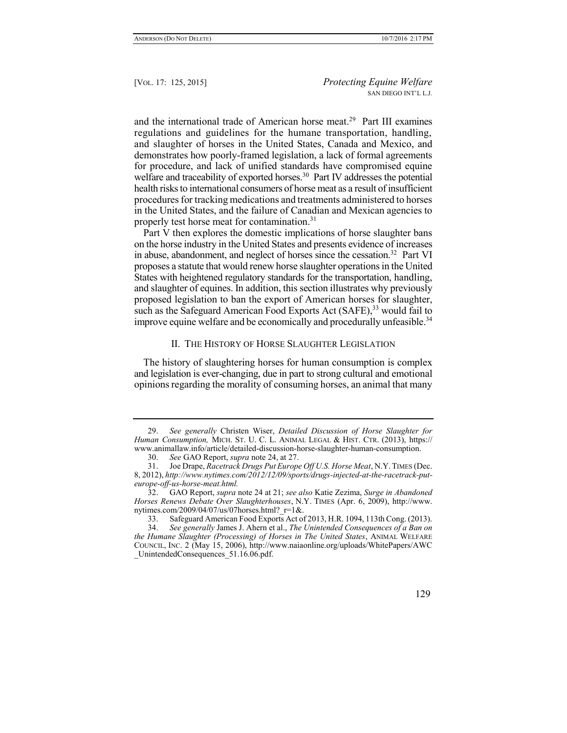and the international trade of American horse meat.<sup>29</sup> Part III examines regulations and guidelines for the humane transportation, handling, and slaughter of horses in the United States, Canada and Mexico, and demonstrates how poorly-framed legislation, a lack of formal agreements for procedure, and lack of unified standards have compromised equine welfare and traceability of exported horses.<sup>30</sup> Part IV addresses the potential health risks to international consumers of horse meat as a result of insufficient procedures for tracking medications and treatments administered to horses in the United States, and the failure of Canadian and Mexican agencies to properly test horse meat for contamination.<sup>31</sup>

Part V then explores the domestic implications of horse slaughter bans on the horse industry in the United States and presents evidence of increases in abuse, abandonment, and neglect of horses since the cessation.<sup>32</sup> Part VI proposes a statute that would renew horse slaughter operations in the United States with heightened regulatory standards for the transportation, handling, and slaughter of equines. In addition, this section illustrates why previously proposed legislation to ban the export of American horses for slaughter, such as the Safeguard American Food Exports Act (SAFE),  $33$  would fail to improve equine welfare and be economically and procedurally unfeasible.<sup>34</sup>

## II. THE HISTORY OF HORSE SLAUGHTER LEGISLATION

The history of slaughtering horses for human consumption is complex and legislation is ever-changing, due in part to strong cultural and emotional opinions regarding the morality of consuming horses, an animal that many

<sup>29.</sup> *See generally* Christen Wiser, *Detailed Discussion of Horse Slaughter for Human Consumption,* MICH. ST. U. C. L. ANIMAL LEGAL & HIST. CTR. (2013), https:// www.animallaw.info/article/detailed-discussion-horse-slaughter-human-consumption.

<sup>30.</sup> *See* GAO Report, *supra* note 24, at 27.

<sup>31.</sup> Joe Drape, *Racetrack Drugs Put Europe Off U.S. Horse Meat*, N.Y.TIMES (Dec. 8, 2012), *http://www.nytimes.com/2012/12/09/sports/drugs-injected-at-the-racetrack-puteurope-off-us-horse-meat.html.*

<sup>32.</sup> GAO Report, *supra* note 24 at 21; *see also* Katie Zezima, *Surge in Abandoned Horses Renews Debate Over Slaughterhouses*, N.Y. TIMES (Apr. 6, 2009), http://www. nytimes.com/2009/04/07/us/07horses.html? $r=1$ &.

<sup>33.</sup> Safeguard American Food Exports Act of 2013, H.R. 1094, 113th Cong. (2013).

<sup>34.</sup> *See generally* James J. Ahern et al., *The Unintended Consequences of a Ban on the Humane Slaughter (Processing) of Horses in The United States*, ANIMAL WELFARE COUNCIL, INC. 2 (May 15, 2006), http://www.naiaonline.org/uploads/WhitePapers/AWC \_UnintendedConsequences\_51.16.06.pdf.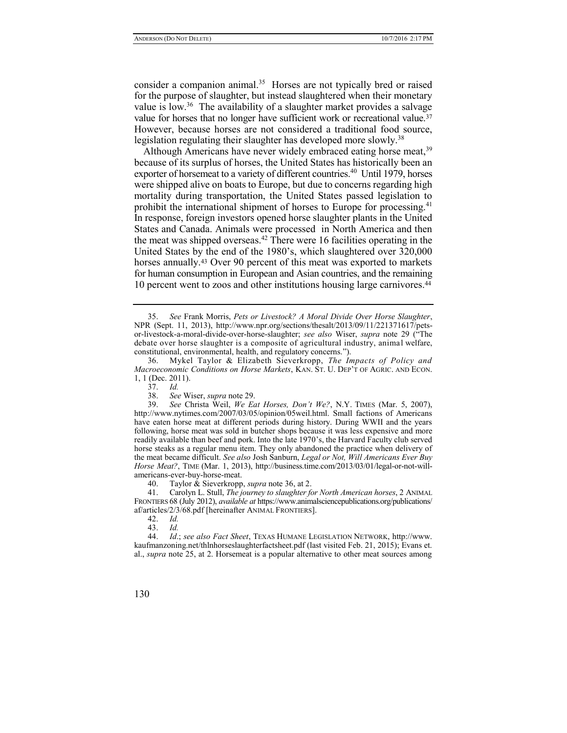consider a companion animal.<sup>35</sup> Horses are not typically bred or raised for the purpose of slaughter, but instead slaughtered when their monetary value is low.<sup>36</sup> The availability of a slaughter market provides a salvage value for horses that no longer have sufficient work or recreational value.<sup>37</sup> However, because horses are not considered a traditional food source, legislation regulating their slaughter has developed more slowly.<sup>38</sup>

Although Americans have never widely embraced eating horse meat,<sup>39</sup> because of its surplus of horses, the United States has historically been an exporter of horsemeat to a variety of different countries.<sup>40</sup> Until 1979, horses were shipped alive on boats to Europe, but due to concerns regarding high mortality during transportation, the United States passed legislation to prohibit the international shipment of horses to Europe for processing.<sup>41</sup> In response, foreign investors opened horse slaughter plants in the United States and Canada. Animals were processed in North America and then the meat was shipped overseas.<sup>42</sup> There were 16 facilities operating in the United States by the end of the 1980's, which slaughtered over 320,000 horses annually.<sup>43</sup> Over 90 percent of this meat was exported to markets for human consumption in European and Asian countries, and the remaining 10 percent went to zoos and other institutions housing large carnivores.<sup>44</sup>

40. Taylor & Sieverkropp, *supra* note 36, at 2.

41. Carolyn L. Stull, *The journey to slaughter for North American horses*, 2 ANIMAL FRONTIERS 68 (July 2012), *available at* https://www.animalsciencepublications.org/publications/ af/articles/2/3/68.pdf [hereinafter ANIMAL FRONTIERS].

- 42. *Id.*
- 43. *Id.*

44. *Id*.; *see also Fact Sheet*, TEXAS HUMANE LEGISLATION NETWORK, http://www. kaufmanzoning.net/thlnhorseslaughterfactsheet.pdf (last visited Feb. 21, 2015); Evans et. al., *supra* note 25, at 2. Horsemeat is a popular alternative to other meat sources among

<sup>35.</sup> *See* Frank Morris, *Pets or Livestock? A Moral Divide Over Horse Slaughter*, NPR (Sept. 11, 2013), http://www.npr.org/sections/thesalt/2013/09/11/221371617/petsor-livestock-a-moral-divide-over-horse-slaughter; *see also* Wiser, *supra* note 29 ("The debate over horse slaughter is a composite of agricultural industry, animal welfare, constitutional, environmental, health, and regulatory concerns.").

<sup>36.</sup> Mykel Taylor & Elizabeth Sieverkropp, *The Impacts of Policy and Macroeconomic Conditions on Horse Markets*, KAN. ST. U. DEP'T OF AGRIC. AND ECON. 1, 1 (Dec. 2011).

<sup>37.</sup> *Id.*

<sup>38.</sup> *See* Wiser, *supra* note 29.

<sup>39.</sup> *See* Christa Weil, *We Eat Horses, Don't We?*, N.Y. TIMES (Mar. 5, 2007), http://www.nytimes.com/2007/03/05/opinion/05weil.html. Small factions of Americans have eaten horse meat at different periods during history. During WWII and the years following, horse meat was sold in butcher shops because it was less expensive and more readily available than beef and pork. Into the late 1970's, the Harvard Faculty club served horse steaks as a regular menu item. They only abandoned the practice when delivery of the meat became difficult. *See also* Josh Sanburn, *Legal or Not, Will Americans Ever Buy Horse Meat?*, TIME (Mar. 1, 2013), http://business.time.com/2013/03/01/legal-or-not-willamericans-ever-buy-horse-meat.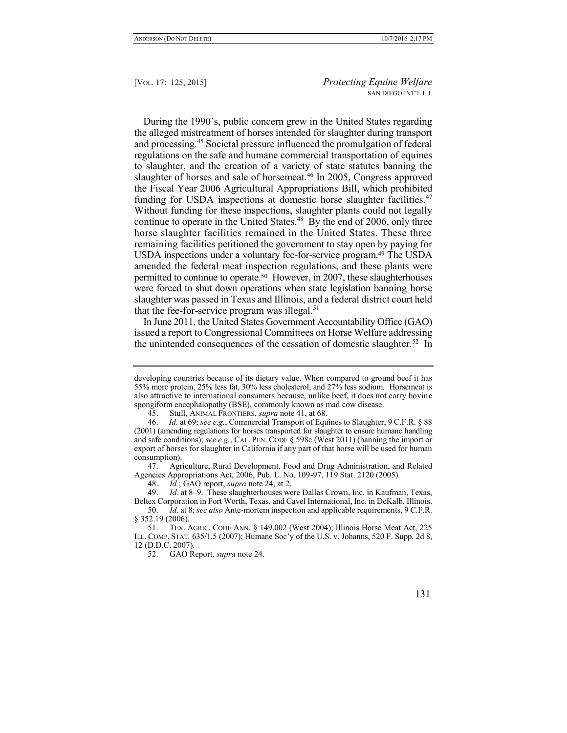During the 1990's, public concern grew in the United States regarding the alleged mistreatment of horses intended for slaughter during transport and processing.<sup>45</sup> Societal pressure influenced the promulgation of federal regulations on the safe and humane commercial transportation of equines to slaughter, and the creation of a variety of state statutes banning the slaughter of horses and sale of horsemeat.<sup>46</sup> In 2005, Congress approved the Fiscal Year 2006 Agricultural Appropriations Bill, which prohibited funding for USDA inspections at domestic horse slaughter facilities.<sup>47</sup> Without funding for these inspections, slaughter plants could not legally continue to operate in the United States.<sup>48</sup> By the end of 2006, only three horse slaughter facilities remained in the United States. These three remaining facilities petitioned the government to stay open by paying for USDA inspections under a voluntary fee-for-service program.<sup>49</sup> The USDA amended the federal meat inspection regulations, and these plants were permitted to continue to operate.50 However, in 2007, these slaughterhouses were forced to shut down operations when state legislation banning horse slaughter was passed in Texas and Illinois, and a federal district court held that the fee-for-service program was illegal. $51$ 

In June 2011, the United States Government Accountability Office (GAO) issued a report to Congressional Committees on Horse Welfare addressing the unintended consequences of the cessation of domestic slaughter.<sup>52</sup> In

developing countries because of its dietary value. When compared to ground beef it has 55% more protein, 25% less fat, 30% less cholesterol, and 27% less sodium. Horsemeat is also attractive to international consumers because, unlike beef, it does not carry bovine spongiform encephalopathy (BSE), commonly known as mad cow disease.

<sup>45.</sup> Stull, ANIMAL FRONTIERS, *supra* note 41, at 68.

<sup>46.</sup> *Id.* at 69; *see e.g.*, Commercial Transport of Equines to Slaughter, 9 C.F.R. § 88 (2001) (amending regulations for horses transported for slaughter to ensure humane handling and safe conditions); *see e.g.*, CAL. PEN. CODE § 598c (West 2011) (banning the import or export of horses for slaughter in California if any part of that horse will be used for human consumption).

<sup>47.</sup> Agriculture, Rural Development, Food and Drug Administration, and Related Agencies Appropriations Act, 2006, Pub. L. No. 109-97, 119 Stat. 2120 (2005).

<sup>48.</sup> *Id.*; GAO report, *supra* note 24, at 2.

<sup>49.</sup> *Id.* at 8–9. These slaughterhouses were Dallas Crown, Inc. in Kaufman, Texas, Beltex Corporation in Fort Worth, Texas, and Cavel International, Inc. in DeKalb, Illinois.

<sup>50.</sup> *Id.* at 8; *see also* Ante-mortem inspection and applicable requirements, 9 C.F.R. § 352.19 (2006).

<sup>51.</sup> TEX. AGRIC. CODE ANN. § 149.002 (West 2004); Illinois Horse Meat Act, 225 ILL. COMP. STAT. 635/1.5 (2007); Humane Soc'y of the U.S. v. Johanns, 520 F. Supp. 2d 8, 12 (D.D.C. 2007).

<sup>52.</sup> GAO Report, *supra* note 24.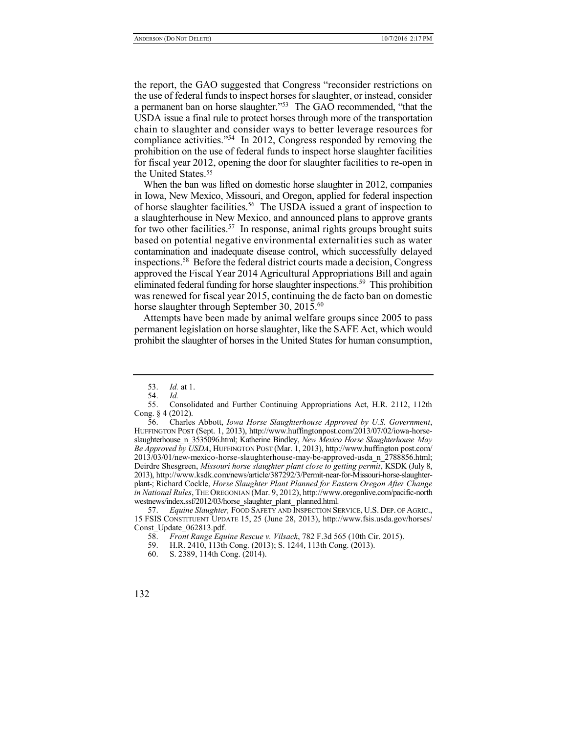the report, the GAO suggested that Congress "reconsider restrictions on the use of federal funds to inspect horses for slaughter, or instead, consider a permanent ban on horse slaughter."<sup>53</sup> The GAO recommended, "that the USDA issue a final rule to protect horses through more of the transportation chain to slaughter and consider ways to better leverage resources for compliance activities."<sup>54</sup> In 2012, Congress responded by removing the prohibition on the use of federal funds to inspect horse slaughter facilities for fiscal year 2012, opening the door for slaughter facilities to re-open in the United States.<sup>55</sup>

When the ban was lifted on domestic horse slaughter in 2012, companies in Iowa, New Mexico, Missouri, and Oregon, applied for federal inspection of horse slaughter facilities.<sup>56</sup> The USDA issued a grant of inspection to a slaughterhouse in New Mexico, and announced plans to approve grants for two other facilities.<sup>57</sup> In response, animal rights groups brought suits based on potential negative environmental externalities such as water contamination and inadequate disease control, which successfully delayed inspections.<sup>58</sup> Before the federal district courts made a decision, Congress approved the Fiscal Year 2014 Agricultural Appropriations Bill and again eliminated federal funding for horse slaughter inspections.<sup>59</sup> This prohibition was renewed for fiscal year 2015, continuing the de facto ban on domestic horse slaughter through September 30, 2015.<sup>60</sup>

Attempts have been made by animal welfare groups since 2005 to pass permanent legislation on horse slaughter, like the SAFE Act, which would prohibit the slaughter of horses in the United States for human consumption,

<sup>53.</sup> *Id.* at 1.

<sup>54.</sup> *Id.*

<sup>55.</sup> Consolidated and Further Continuing Appropriations Act, H.R. 2112, 112th Cong. § 4 (2012).

<sup>56.</sup> Charles Abbott, *Iowa Horse Slaughterhouse Approved by U.S. Government*, HUFFINGTON POST (Sept. 1, 2013), http://www.huffingtonpost.com/2013/07/02/iowa-horseslaughterhouse\_n\_3535096.html; Katherine Bindley, *New Mexico Horse Slaughterhouse May Be Approved by USDA*, HUFFINGTON POST (Mar. 1, 2013), http://www.huffington post.com/ 2013/03/01/new-mexico-horse-slaughterhouse-may-be-approved-usda\_n\_2788856.html; Deirdre Shesgreen, *Missouri horse slaughter plant close to getting permit*, KSDK (July 8, 2013), http://www.ksdk.com/news/article/387292/3/Permit-near-for-Missouri-horse-slaughterplant-; Richard Cockle, *Horse Slaughter Plant Planned for Eastern Oregon After Change in National Rules*, THE OREGONIAN (Mar. 9, 2012), http://www.oregonlive.com/pacific-north westnews/index.ssf/2012/03/horse\_slaughter\_plant\_planned.html.

<sup>57.</sup> *Equine Slaughter,* FOOD SAFETY AND INSPECTION SERVICE, U.S. DEP. OF AGRIC., 15 FSIS CONSTITUENT UPDATE 15, 25 (June 28, 2013), http://www.fsis.usda.gov/horses/ Const\_Update\_062813.pdf.

<sup>58.</sup> *Front Range Equine Rescue v. Vilsack*, 782 F.3d 565 (10th Cir. 2015).

<sup>59.</sup> H.R. 2410, 113th Cong. (2013); S. 1244, 113th Cong. (2013).

<sup>60.</sup> S. 2389, 114th Cong. (2014).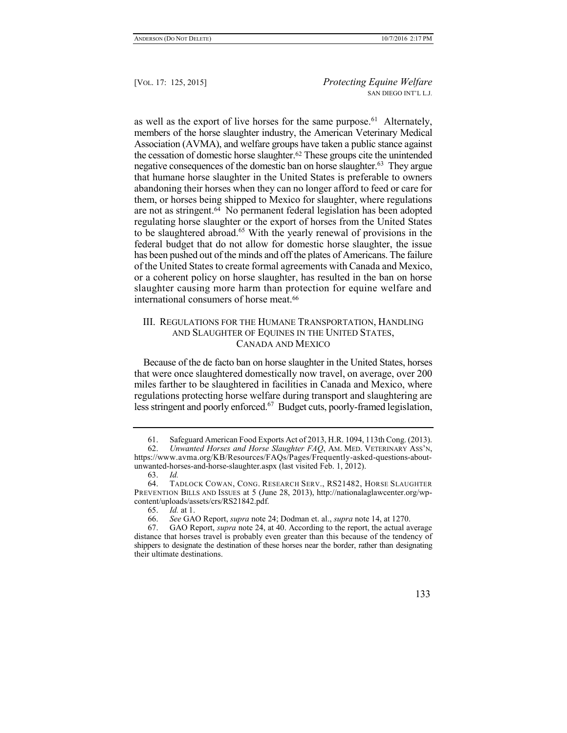as well as the export of live horses for the same purpose.<sup>61</sup> Alternately, members of the horse slaughter industry, the American Veterinary Medical Association (AVMA), and welfare groups have taken a public stance against the cessation of domestic horse slaughter.<sup>62</sup> These groups cite the unintended negative consequences of the domestic ban on horse slaughter.<sup>63</sup> They argue that humane horse slaughter in the United States is preferable to owners abandoning their horses when they can no longer afford to feed or care for them, or horses being shipped to Mexico for slaughter, where regulations are not as stringent.<sup>64</sup> No permanent federal legislation has been adopted regulating horse slaughter or the export of horses from the United States to be slaughtered abroad.<sup>65</sup> With the yearly renewal of provisions in the federal budget that do not allow for domestic horse slaughter, the issue has been pushed out of the minds and off the plates of Americans. The failure of the United States to create formal agreements with Canada and Mexico, or a coherent policy on horse slaughter, has resulted in the ban on horse slaughter causing more harm than protection for equine welfare and international consumers of horse meat.<sup>66</sup>

## III. REGULATIONS FOR THE HUMANE TRANSPORTATION, HANDLING AND SLAUGHTER OF EQUINES IN THE UNITED STATES, CANADA AND MEXICO

Because of the de facto ban on horse slaughter in the United States, horses that were once slaughtered domestically now travel, on average, over 200 miles farther to be slaughtered in facilities in Canada and Mexico, where regulations protecting horse welfare during transport and slaughtering are less stringent and poorly enforced.<sup>67</sup> Budget cuts, poorly-framed legislation,

<sup>61.</sup> Safeguard American Food Exports Act of 2013, H.R. 1094, 113th Cong. (2013).

<sup>62.</sup> *Unwanted Horses and Horse Slaughter FAQ*, AM. MED. VETERINARY ASS'N, https://www.avma.org/KB/Resources/FAQs/Pages/Frequently-asked-questions-aboutunwanted-horses-and-horse-slaughter.aspx (last visited Feb. 1, 2012).

<sup>63.</sup> *Id.*

<sup>64.</sup> TADLOCK COWAN, CONG. RESEARCH SERV., RS21482, HORSE SLAUGHTER PREVENTION BILLS AND ISSUES at 5 (June 28, 2013), http://nationalaglawcenter.org/wpcontent/uploads/assets/crs/RS21842.pdf.

<sup>65.</sup> *Id.* at 1.

<sup>66.</sup> *See* GAO Report, *supra* note 24; Dodman et. al., *supra* note 14, at 1270.

<sup>67.</sup> GAO Report, *supra* note 24, at 40. According to the report, the actual average distance that horses travel is probably even greater than this because of the tendency of shippers to designate the destination of these horses near the border, rather than designating their ultimate destinations.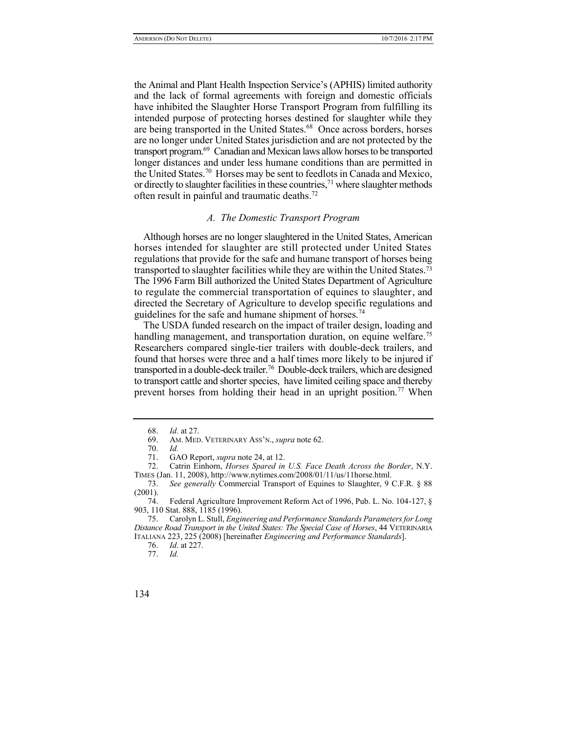the Animal and Plant Health Inspection Service's (APHIS) limited authority and the lack of formal agreements with foreign and domestic officials have inhibited the Slaughter Horse Transport Program from fulfilling its intended purpose of protecting horses destined for slaughter while they are being transported in the United States.<sup>68</sup> Once across borders, horses are no longer under United States jurisdiction and are not protected by the transport program.<sup>69</sup> Canadian and Mexican laws allow horses to be transported longer distances and under less humane conditions than are permitted in the United States.<sup>70</sup> Horses may be sent to feedlots in Canada and Mexico, or directly to slaughter facilities in these countries,<sup>71</sup> where slaughter methods often result in painful and traumatic deaths.<sup>72</sup>

#### *A. The Domestic Transport Program*

Although horses are no longer slaughtered in the United States, American horses intended for slaughter are still protected under United States regulations that provide for the safe and humane transport of horses being transported to slaughter facilities while they are within the United States.<sup>73</sup> The 1996 Farm Bill authorized the United States Department of Agriculture to regulate the commercial transportation of equines to slaughter, and directed the Secretary of Agriculture to develop specific regulations and guidelines for the safe and humane shipment of horses.<sup>74</sup>

The USDA funded research on the impact of trailer design, loading and handling management, and transportation duration, on equine welfare.<sup>75</sup> Researchers compared single-tier trailers with double-deck trailers, and found that horses were three and a half times more likely to be injured if transported in a double-deck trailer.<sup>76</sup> Double-deck trailers, which are designed to transport cattle and shorter species, have limited ceiling space and thereby prevent horses from holding their head in an upright position.<sup>77</sup> When

<sup>68.</sup> *Id.* at 27.

<sup>69.</sup> AM. MED. VETERINARY ASS'N., *supra* note 62.

<sup>70.</sup> *Id.*

<sup>71.</sup> GAO Report, *supra* note 24, at 12.

<sup>72.</sup> Catrin Einhorn, *Horses Spared in U.S. Face Death Across the Border*, N.Y. TIMES (Jan. 11, 2008), http://www.nytimes.com/2008/01/11/us/11horse.html.

<sup>73.</sup> *See generally* Commercial Transport of Equines to Slaughter, 9 C.F.R. § 88  $\frac{(2001)}{74}$ .

Federal Agriculture Improvement Reform Act of 1996, Pub. L. No. 104-127, § 903, 110 Stat. 888, 1185 (1996).

<sup>75.</sup> Carolyn L. Stull, *Engineering and Performance Standards Parameters for Long Distance Road Transport in the United States: The Special Case of Horses*, 44 VETERINARIA ITALIANA 223, 225 (2008) [hereinafter *Engineering and Performance Standards*].

<sup>76.</sup> *Id*. at 227.

<sup>77.</sup> *Id.*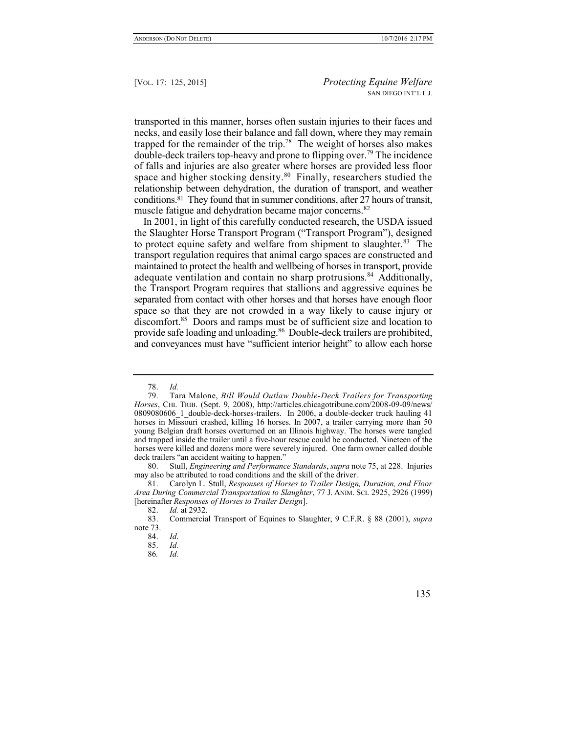transported in this manner, horses often sustain injuries to their faces and necks, and easily lose their balance and fall down, where they may remain trapped for the remainder of the trip.<sup>78</sup> The weight of horses also makes double-deck trailers top-heavy and prone to flipping over.<sup>79</sup> The incidence of falls and injuries are also greater where horses are provided less floor space and higher stocking density.<sup>80</sup> Finally, researchers studied the relationship between dehydration, the duration of transport, and weather conditions.<sup>81</sup> They found that in summer conditions, after 27 hours of transit, muscle fatigue and dehydration became major concerns.<sup>82</sup>

In 2001, in light of this carefully conducted research, the USDA issued the Slaughter Horse Transport Program ("Transport Program"), designed to protect equine safety and welfare from shipment to slaughter.<sup>83</sup> The transport regulation requires that animal cargo spaces are constructed and maintained to protect the health and wellbeing of horses in transport, provide adequate ventilation and contain no sharp protrusions.<sup>84</sup> Additionally, the Transport Program requires that stallions and aggressive equines be separated from contact with other horses and that horses have enough floor space so that they are not crowded in a way likely to cause injury or discomfort.<sup>85</sup> Doors and ramps must be of sufficient size and location to provide safe loading and unloading.<sup>86</sup> Double-deck trailers are prohibited, and conveyances must have "sufficient interior height" to allow each horse

<sup>78.</sup> *Id.*

Tara Malone, *Bill Would Outlaw Double-Deck Trailers for Transporting Horses*, CHI. TRIB. (Sept. 9, 2008), http://articles.chicagotribune.com/2008-09-09/news/ 0809080606 1 double-deck-horses-trailers. In 2006, a double-decker truck hauling 41 horses in Missouri crashed, killing 16 horses. In 2007, a trailer carrying more than 50 young Belgian draft horses overturned on an Illinois highway. The horses were tangled and trapped inside the trailer until a five-hour rescue could be conducted. Nineteen of the horses were killed and dozens more were severely injured. One farm owner called double deck trailers "an accident waiting to happen."

<sup>80.</sup> Stull, *Engineering and Performance Standards*, *supra* note 75, at 228. Injuries may also be attributed to road conditions and the skill of the driver.

<sup>81.</sup> Carolyn L. Stull, *Responses of Horses to Trailer Design, Duration, and Floor Area During Commercial Transportation to Slaughter*, 77 J. ANIM. SCI. 2925, 2926 (1999) [hereinafter *Responses of Horses to Trailer Design*].

<sup>82.</sup> *Id.* at 2932.

<sup>83.</sup> Commercial Transport of Equines to Slaughter, 9 C.F.R. § 88 (2001), *supra* note 73.

<sup>84.</sup> *Id*.

<sup>85.</sup> *Id.*

<sup>86</sup>*. Id.*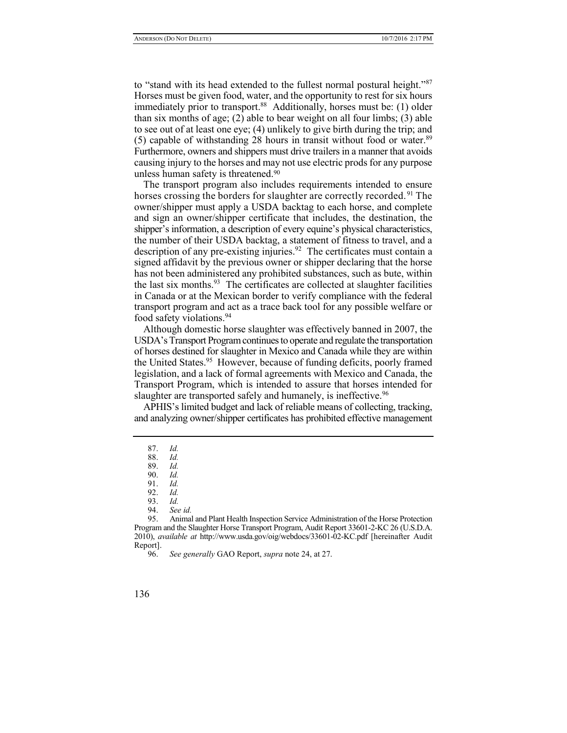to "stand with its head extended to the fullest normal postural height."<sup>87</sup> Horses must be given food, water, and the opportunity to rest for six hours immediately prior to transport.<sup>88</sup> Additionally, horses must be: (1) older than six months of age;  $(2)$  able to bear weight on all four limbs;  $(3)$  able to see out of at least one eye; (4) unlikely to give birth during the trip; and (5) capable of withstanding 28 hours in transit without food or water. $89$ Furthermore, owners and shippers must drive trailers in a manner that avoids causing injury to the horses and may not use electric prods for any purpose unless human safety is threatened.<sup>90</sup>

The transport program also includes requirements intended to ensure horses crossing the borders for slaughter are correctly recorded.<sup>91</sup> The owner/shipper must apply a USDA backtag to each horse, and complete and sign an owner/shipper certificate that includes, the destination, the shipper's information, a description of every equine's physical characteristics, the number of their USDA backtag, a statement of fitness to travel, and a description of any pre-existing injuries.<sup>92</sup> The certificates must contain a signed affidavit by the previous owner or shipper declaring that the horse has not been administered any prohibited substances, such as bute, within the last six months.<sup>93</sup> The certificates are collected at slaughter facilities in Canada or at the Mexican border to verify compliance with the federal transport program and act as a trace back tool for any possible welfare or food safety violations.<sup>94</sup>

Although domestic horse slaughter was effectively banned in 2007, the USDA's Transport Program continues to operate and regulate the transportation of horses destined for slaughter in Mexico and Canada while they are within the United States.<sup>95</sup> However, because of funding deficits, poorly framed legislation, and a lack of formal agreements with Mexico and Canada, the Transport Program, which is intended to assure that horses intended for slaughter are transported safely and humanely, is ineffective.<sup>96</sup>

APHIS's limited budget and lack of reliable means of collecting, tracking, and analyzing owner/shipper certificates has prohibited effective management

95. Animal and Plant Health Inspection Service Administration of the Horse Protection Program and the Slaughter Horse Transport Program, Audit Report 33601-2-KC 26 (U.S.D.A. 2010), *available at* http://www.usda.gov/oig/webdocs/33601-02-KC.pdf [hereinafter Audit Report].

96. *See generally* GAO Report, *supra* note 24, at 27.

<sup>87.</sup> *Id.*

<sup>88.</sup> *Id.*

<sup>89.</sup> *Id.*

<sup>90.</sup> *Id.*

<sup>91.</sup> *Id.*

<sup>92.</sup> *Id.*

<sup>93.</sup> *Id.*

<sup>94.</sup> *See id.*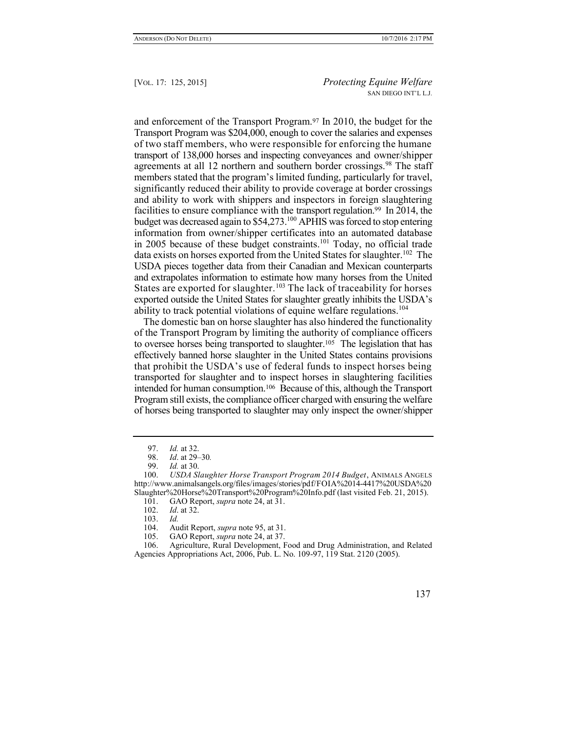and enforcement of the Transport Program.<sup>97</sup> In 2010, the budget for the Transport Program was \$204,000, enough to cover the salaries and expenses of two staff members, who were responsible for enforcing the humane transport of 138,000 horses and inspecting conveyances and owner/shipper agreements at all 12 northern and southern border crossings.<sup>98</sup> The staff members stated that the program's limited funding, particularly for travel, significantly reduced their ability to provide coverage at border crossings and ability to work with shippers and inspectors in foreign slaughtering facilities to ensure compliance with the transport regulation.<sup>99</sup> In 2014, the budget was decreased again to \$54,273.<sup>100</sup> APHIS was forced to stop entering information from owner/shipper certificates into an automated database in 2005 because of these budget constraints.<sup>101</sup> Today, no official trade data exists on horses exported from the United States for slaughter.<sup>102</sup> The USDA pieces together data from their Canadian and Mexican counterparts and extrapolates information to estimate how many horses from the United States are exported for slaughter.<sup>103</sup> The lack of traceability for horses exported outside the United States for slaughter greatly inhibits the USDA's ability to track potential violations of equine welfare regulations.<sup>104</sup>

The domestic ban on horse slaughter has also hindered the functionality of the Transport Program by limiting the authority of compliance officers to oversee horses being transported to slaughter.<sup>105</sup> The legislation that has effectively banned horse slaughter in the United States contains provisions that prohibit the USDA's use of federal funds to inspect horses being transported for slaughter and to inspect horses in slaughtering facilities intended for human consumption.<sup>106</sup> Because of this, although the Transport Program still exists, the compliance officer charged with ensuring the welfare of horses being transported to slaughter may only inspect the owner/shipper

105. GAO Report, *supra* note 24, at 37.

<sup>97.</sup> *Id.* at 32.

<sup>98.</sup> *Id*. at 29–30*.*

<sup>99.</sup> *Id.* at 30.

<sup>100.</sup> *USDA Slaughter Horse Transport Program 2014 Budget*, ANIMALS ANGELS http://www.animalsangels.org/files/images/stories/pdf/FOIA%2014-4417%20USDA%20 Slaughter%20Horse%20Transport%20Program%20Info.pdf (last visited Feb. 21, 2015).

<sup>101.</sup> GAO Report, *supra* note 24, at 31.

<sup>102.</sup> *Id*. at 32.

<sup>103.</sup> *Id.*

<sup>104.</sup> Audit Report, *supra* note 95, at 31.

<sup>106.</sup> Agriculture, Rural Development, Food and Drug Administration, and Related Agencies Appropriations Act, 2006, Pub. L. No. 109-97, 119 Stat. 2120 (2005).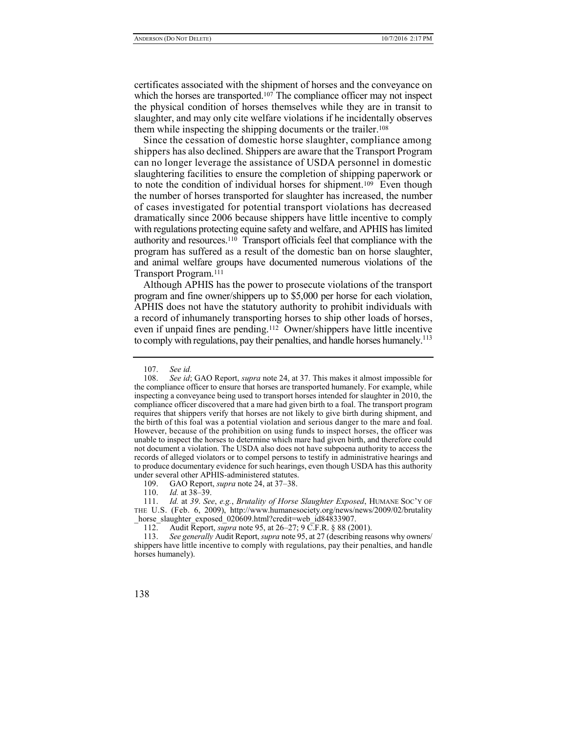certificates associated with the shipment of horses and the conveyance on which the horses are transported.<sup>107</sup> The compliance officer may not inspect the physical condition of horses themselves while they are in transit to slaughter, and may only cite welfare violations if he incidentally observes them while inspecting the shipping documents or the trailer.<sup>108</sup>

Since the cessation of domestic horse slaughter, compliance among shippers has also declined. Shippers are aware that the Transport Program can no longer leverage the assistance of USDA personnel in domestic slaughtering facilities to ensure the completion of shipping paperwork or to note the condition of individual horses for shipment.109 Even though the number of horses transported for slaughter has increased, the number of cases investigated for potential transport violations has decreased dramatically since 2006 because shippers have little incentive to comply with regulations protecting equine safety and welfare, and APHIS has limited authority and resources.<sup>110</sup> Transport officials feel that compliance with the program has suffered as a result of the domestic ban on horse slaughter, and animal welfare groups have documented numerous violations of the Transport Program.<sup>111</sup>

Although APHIS has the power to prosecute violations of the transport program and fine owner/shippers up to \$5,000 per horse for each violation, APHIS does not have the statutory authority to prohibit individuals with a record of inhumanely transporting horses to ship other loads of horses, even if unpaid fines are pending.<sup>112</sup> Owner/shippers have little incentive to comply with regulations, pay their penalties, and handle horses humanely.<sup>113</sup>

<sup>107.</sup> *See id.*

<sup>108.</sup> *See id*; GAO Report, *supra* note 24, at 37. This makes it almost impossible for the compliance officer to ensure that horses are transported humanely. For example, while inspecting a conveyance being used to transport horses intended for slaughter in 2010, the compliance officer discovered that a mare had given birth to a foal. The transport program requires that shippers verify that horses are not likely to give birth during shipment, and the birth of this foal was a potential violation and serious danger to the mare and foal. However, because of the prohibition on using funds to inspect horses, the officer was unable to inspect the horses to determine which mare had given birth, and therefore could not document a violation. The USDA also does not have subpoena authority to access the records of alleged violators or to compel persons to testify in administrative hearings and to produce documentary evidence for such hearings, even though USDA has this authority under several other APHIS-administered statutes.

<sup>109.</sup> GAO Report, *supra* note 24, at 37–38.

<sup>110.</sup> *Id.* at 38–39.

<sup>111.</sup> *Id.* at *39*. *See*, *e.g.*, *Brutality of Horse Slaughter Exposed*, HUMANE SOC'Y OF THE U.S. (Feb. 6, 2009), http://www.humanesociety.org/news/news/2009/02/brutality \_horse\_slaughter\_exposed\_020609.html?credit=web\_id84833907.

<sup>112.</sup> Audit Report, *supra* note 95, at 26–27; 9 C.F.R. § 88 (2001).

<sup>113.</sup> *See generally* Audit Report, *supra* note 95, at 27 (describing reasons why owners/ shippers have little incentive to comply with regulations, pay their penalties, and handle horses humanely).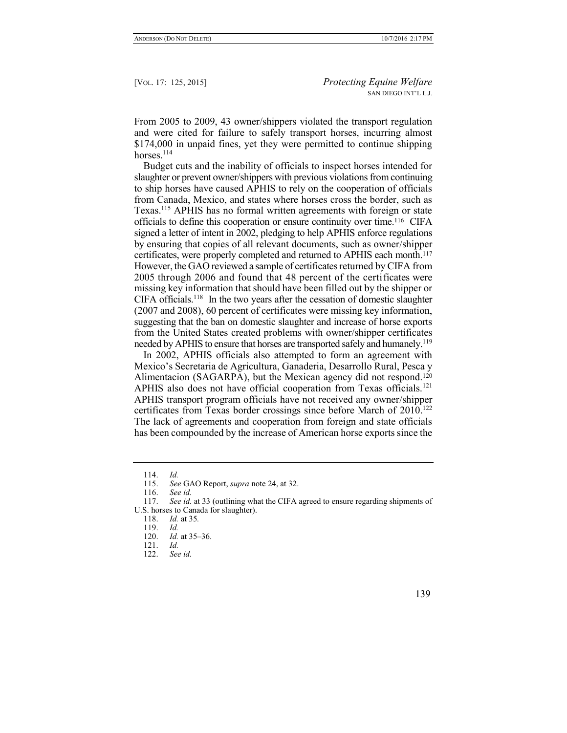From 2005 to 2009, 43 owner/shippers violated the transport regulation and were cited for failure to safely transport horses, incurring almost \$174,000 in unpaid fines, yet they were permitted to continue shipping horses. $114$ 

Budget cuts and the inability of officials to inspect horses intended for slaughter or prevent owner/shippers with previous violations from continuing to ship horses have caused APHIS to rely on the cooperation of officials from Canada, Mexico, and states where horses cross the border, such as Texas.<sup>115</sup> APHIS has no formal written agreements with foreign or state officials to define this cooperation or ensure continuity over time.<sup>116</sup> CIFA signed a letter of intent in 2002, pledging to help APHIS enforce regulations by ensuring that copies of all relevant documents, such as owner/shipper certificates, were properly completed and returned to APHIS each month.<sup>117</sup> However, the GAO reviewed a sample of certificates returned by CIFA from 2005 through 2006 and found that 48 percent of the certificates were missing key information that should have been filled out by the shipper or CIFA officials.<sup>118</sup> In the two years after the cessation of domestic slaughter (2007 and 2008), 60 percent of certificates were missing key information, suggesting that the ban on domestic slaughter and increase of horse exports from the United States created problems with owner/shipper certificates needed by APHIS to ensure that horses are transported safely and humanely.<sup>119</sup>

In 2002, APHIS officials also attempted to form an agreement with Mexico's Secretaria de Agricultura, Ganaderia, Desarrollo Rural, Pesca y Alimentacion (SAGARPA), but the Mexican agency did not respond.<sup>120</sup> APHIS also does not have official cooperation from Texas officials.<sup>121</sup> APHIS transport program officials have not received any owner/shipper certificates from Texas border crossings since before March of 2010.<sup>122</sup> The lack of agreements and cooperation from foreign and state officials has been compounded by the increase of American horse exports since the

<sup>114.</sup> *Id.*

<sup>115.</sup> *See* GAO Report, *supra* note 24, at 32.

<sup>116.</sup> *See id.*

See *id.* at 33 (outlining what the CIFA agreed to ensure regarding shipments of U.S. horses to Canada for slaughter).

<sup>118.</sup> *Id.* at 35*.*

<sup>119.</sup> *Id.*

<sup>120.</sup> *Id.* at 35–36.

<sup>121.</sup> *Id.*

<sup>122.</sup> *See id.*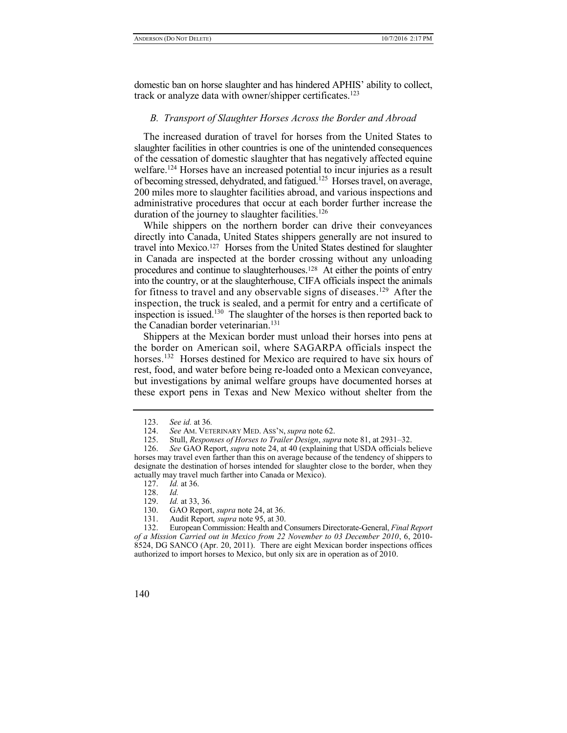domestic ban on horse slaughter and has hindered APHIS' ability to collect, track or analyze data with owner/shipper certificates.<sup>123</sup>

#### *B. Transport of Slaughter Horses Across the Border and Abroad*

The increased duration of travel for horses from the United States to slaughter facilities in other countries is one of the unintended consequences of the cessation of domestic slaughter that has negatively affected equine welfare.<sup>124</sup> Horses have an increased potential to incur injuries as a result of becoming stressed, dehydrated, and fatigued.<sup>125</sup> Horses travel, on average, 200 miles more to slaughter facilities abroad, and various inspections and administrative procedures that occur at each border further increase the duration of the journey to slaughter facilities.<sup>126</sup>

While shippers on the northern border can drive their conveyances directly into Canada, United States shippers generally are not insured to travel into Mexico.<sup>127</sup> Horses from the United States destined for slaughter in Canada are inspected at the border crossing without any unloading procedures and continue to slaughterhouses.128 At either the points of entry into the country, or at the slaughterhouse, CIFA officials inspect the animals for fitness to travel and any observable signs of diseases.<sup>129</sup> After the inspection, the truck is sealed, and a permit for entry and a certificate of inspection is issued.<sup>130</sup> The slaughter of the horses is then reported back to the Canadian border veterinarian.<sup>131</sup>

Shippers at the Mexican border must unload their horses into pens at the border on American soil, where SAGARPA officials inspect the horses.<sup>132</sup> Horses destined for Mexico are required to have six hours of rest, food, and water before being re-loaded onto a Mexican conveyance, but investigations by animal welfare groups have documented horses at these export pens in Texas and New Mexico without shelter from the

<sup>123.</sup> *See id.* at 36*.*

<sup>124.</sup> *See* AM. VETERINARY MED. ASS'N, *supra* note 62.

<sup>125.</sup> Stull, *Responses of Horses to Trailer Design*, *supra* note 81, at 2931–32.

<sup>126.</sup> *See* GAO Report, *supra* note 24, at 40 (explaining that USDA officials believe horses may travel even farther than this on average because of the tendency of shippers to designate the destination of horses intended for slaughter close to the border, when they actually may travel much farther into Canada or Mexico).

<sup>127.</sup> *Id.* at 36.

<sup>128.</sup> *Id.*

*Id.* at 33, 36*.* 

<sup>130.</sup> GAO Report, *supra* note 24, at 36.

<sup>131.</sup> Audit Report*, supra* note 95, at 30.

<sup>132.</sup> European Commission: Health and Consumers Directorate-General, *Final Report of a Mission Carried out in Mexico from 22 November to 03 December 2010*, 6, 2010- 8524, DG SANCO (Apr. 20, 2011). There are eight Mexican border inspections offices authorized to import horses to Mexico, but only six are in operation as of 2010.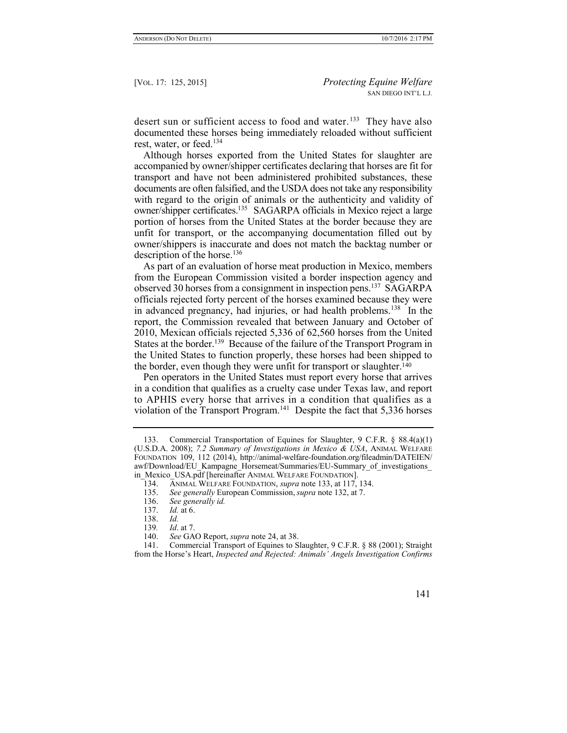desert sun or sufficient access to food and water.<sup>133</sup> They have also documented these horses being immediately reloaded without sufficient rest, water, or feed.<sup>134</sup>

Although horses exported from the United States for slaughter are accompanied by owner/shipper certificates declaring that horses are fit for transport and have not been administered prohibited substances, these documents are often falsified, and the USDA does not take any responsibility with regard to the origin of animals or the authenticity and validity of owner/shipper certificates.<sup>135</sup> SAGARPA officials in Mexico reject a large portion of horses from the United States at the border because they are unfit for transport, or the accompanying documentation filled out by owner/shippers is inaccurate and does not match the backtag number or description of the horse.<sup>136</sup>

As part of an evaluation of horse meat production in Mexico, members from the European Commission visited a border inspection agency and observed 30 horses from a consignment in inspection pens.<sup>137</sup> SAGARPA officials rejected forty percent of the horses examined because they were in advanced pregnancy, had injuries, or had health problems.<sup>138</sup> In the report, the Commission revealed that between January and October of 2010, Mexican officials rejected 5,336 of 62,560 horses from the United States at the border.<sup>139</sup> Because of the failure of the Transport Program in the United States to function properly, these horses had been shipped to the border, even though they were unfit for transport or slaughter.<sup>140</sup>

Pen operators in the United States must report every horse that arrives in a condition that qualifies as a cruelty case under Texas law, and report to APHIS every horse that arrives in a condition that qualifies as a violation of the Transport Program.<sup>141</sup> Despite the fact that 5,336 horses

<sup>133.</sup> Commercial Transportation of Equines for Slaughter, 9 C.F.R. § 88.4(a)(1) (U.S.D.A. 2008); *7.2 Summary of Investigations in Mexico & USA*, ANIMAL WELFARE FOUNDATION 109, 112 (2014), http://animal-welfare-foundation.org/fileadmin/DATEIEN/ awf/Download/EU\_Kampagne\_Horsemeat/Summaries/EU-Summary\_of\_investigations\_ in Mexico USA.pdf [hereinafter ANIMAL WELFARE FOUNDATION].

<sup>134.</sup> ANIMAL WELFARE FOUNDATION, *supra* note 133, at 117, 134.

<sup>135.</sup> *See generally* European Commission,*supra* note 132, at 7.

See generally *id.* 

<sup>137.</sup> *Id.* at 6.

<sup>138.</sup> *Id. Id.* at 7.

<sup>140.</sup> *See* GAO Report, *supra* note 24, at 38.

<sup>141.</sup> Commercial Transport of Equines to Slaughter, 9 C.F.R. § 88 (2001); Straight from the Horse's Heart, *Inspected and Rejected: Animals' Angels Investigation Confirms*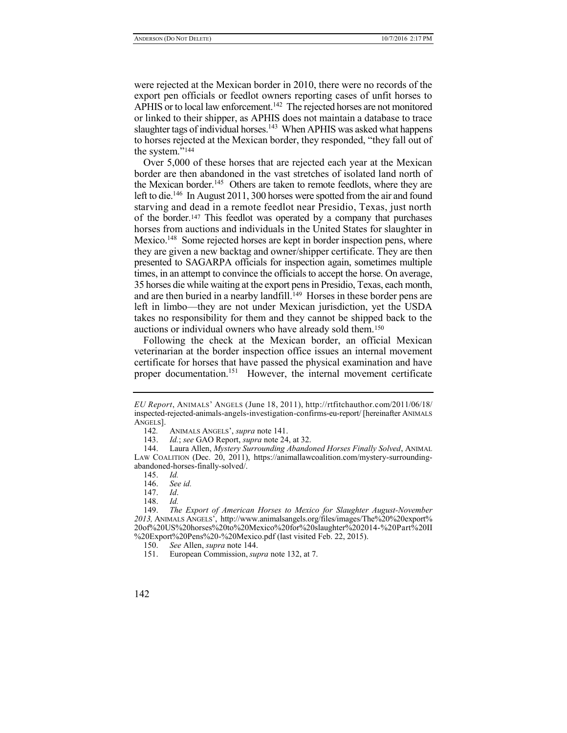were rejected at the Mexican border in 2010, there were no records of the export pen officials or feedlot owners reporting cases of unfit horses to APHIS or to local law enforcement.<sup>142</sup> The rejected horses are not monitored or linked to their shipper, as APHIS does not maintain a database to trace slaughter tags of individual horses.<sup>143</sup> When APHIS was asked what happens to horses rejected at the Mexican border, they responded, "they fall out of the system."<sup>144</sup>

Over 5,000 of these horses that are rejected each year at the Mexican border are then abandoned in the vast stretches of isolated land north of the Mexican border.<sup>145</sup> Others are taken to remote feedlots, where they are left to die.<sup>146</sup> In August 2011, 300 horses were spotted from the air and found starving and dead in a remote feedlot near Presidio, Texas, just north of the border.<sup>147</sup> This feedlot was operated by a company that purchases horses from auctions and individuals in the United States for slaughter in Mexico.<sup>148</sup> Some rejected horses are kept in border inspection pens, where they are given a new backtag and owner/shipper certificate. They are then presented to SAGARPA officials for inspection again, sometimes multiple times, in an attempt to convince the officials to accept the horse. On average, 35 horses die while waiting at the export pens in Presidio, Texas, each month, and are then buried in a nearby landfill.<sup>149</sup> Horses in these border pens are left in limbo—they are not under Mexican jurisdiction, yet the USDA takes no responsibility for them and they cannot be shipped back to the auctions or individual owners who have already sold them.<sup>150</sup>

Following the check at the Mexican border, an official Mexican veterinarian at the border inspection office issues an internal movement certificate for horses that have passed the physical examination and have proper documentation.<sup>151</sup> However, the internal movement certificate

*EU Report*, ANIMALS' ANGELS (June 18, 2011), http://rtfitchauthor.com/2011/06/18/ inspected-rejected-animals-angels-investigation-confirms-eu-report/ [hereinafter ANIMALS ANGELS].

<sup>142</sup>*.* ANIMALS ANGELS', *supra* note 141.

<sup>143.</sup> *Id.*; *see* GAO Report, *supra* note 24, at 32.

<sup>144.</sup> Laura Allen, *Mystery Surrounding Abandoned Horses Finally Solved*, ANIMAL LAW COALITION (Dec. 20, 2011), https://animallawcoalition.com/mystery-surroundingabandoned-horses-finally-solved/.

<sup>145.</sup> *Id.*

<sup>146.</sup> *See id.*

<sup>147.</sup> *Id*.

<sup>148.</sup> *Id.*

<sup>149.</sup> *The Export of American Horses to Mexico for Slaughter August-November 2013,* ANIMALS ANGELS', http://www.animalsangels.org/files/images/The%20%20export% 20of%20US%20horses%20to%20Mexico%20for%20slaughter%202014-%20Part%20II %20Export%20Pens%20-%20Mexico.pdf (last visited Feb. 22, 2015).

<sup>150.</sup> *See* Allen, *supra* note 144.

<sup>151.</sup> European Commission, *supra* note 132, at 7.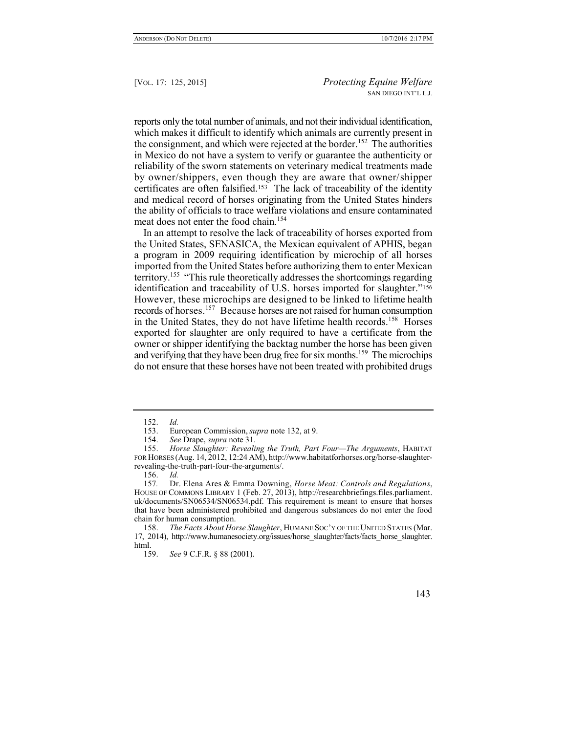reports only the total number of animals, and not their individual identification, which makes it difficult to identify which animals are currently present in the consignment, and which were rejected at the border.<sup>152</sup> The authorities in Mexico do not have a system to verify or guarantee the authenticity or reliability of the sworn statements on veterinary medical treatments made by owner/shippers, even though they are aware that owner/shipper certificates are often falsified.<sup>153</sup> The lack of traceability of the identity and medical record of horses originating from the United States hinders the ability of officials to trace welfare violations and ensure contaminated meat does not enter the food chain<sup>154</sup>

In an attempt to resolve the lack of traceability of horses exported from the United States, SENASICA, the Mexican equivalent of APHIS, began a program in 2009 requiring identification by microchip of all horses imported from the United States before authorizing them to enter Mexican territory.<sup>155</sup> "This rule theoretically addresses the shortcomings regarding identification and traceability of U.S. horses imported for slaughter."<sup>156</sup> However, these microchips are designed to be linked to lifetime health records of horses.<sup>157</sup> Because horses are not raised for human consumption in the United States, they do not have lifetime health records.<sup>158</sup> Horses exported for slaughter are only required to have a certificate from the owner or shipper identifying the backtag number the horse has been given and verifying that they have been drug free for six months.<sup>159</sup> The microchips do not ensure that these horses have not been treated with prohibited drugs

<sup>152.</sup> *Id.*

<sup>153.</sup> European Commission, *supra* note 132, at 9.

<sup>154.</sup> *See* Drape, *supra* note 31.

<sup>155.</sup> *Horse Slaughter: Revealing the Truth, Part Four—The Arguments*, HABITAT FOR HORSES (Aug. 14, 2012, 12:24 AM), http://www.habitatforhorses.org/horse-slaughterrevealing-the-truth-part-four-the-arguments/.<br>156. *Id.* 

<sup>156.</sup> *Id.*

<sup>157</sup>*.* Dr. Elena Ares & Emma Downing, *Horse Meat: Controls and Regulations*, HOUSE OF COMMONS LIBRARY 1 (Feb. 27, 2013), http://researchbriefings.files.parliament. uk/documents/SN06534/SN06534.pdf. This requirement is meant to ensure that horses that have been administered prohibited and dangerous substances do not enter the food chain for human consumption.

<sup>158.</sup> *The Facts About Horse Slaughter*, HUMANE SOC'Y OF THE UNITED STATES (Mar. 17, 2014), http://www.humanesociety.org/issues/horse\_slaughter/facts/facts\_horse\_slaughter. html.

<sup>159.</sup> *See* 9 C.F.R. § 88 (2001).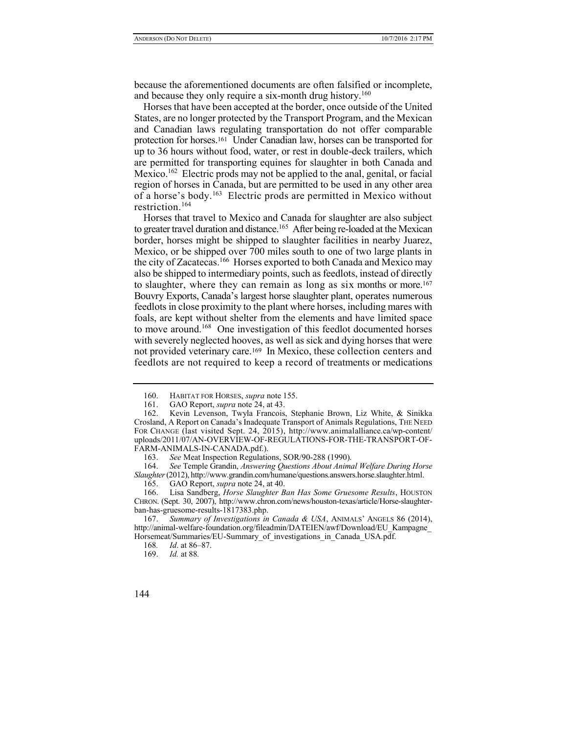because the aforementioned documents are often falsified or incomplete, and because they only require a six-month drug history.<sup>160</sup>

Horses that have been accepted at the border, once outside of the United States, are no longer protected by the Transport Program, and the Mexican and Canadian laws regulating transportation do not offer comparable protection for horses.<sup>161</sup> Under Canadian law, horses can be transported for up to 36 hours without food, water, or rest in double-deck trailers, which are permitted for transporting equines for slaughter in both Canada and Mexico.<sup>162</sup> Electric prods may not be applied to the anal, genital, or facial region of horses in Canada, but are permitted to be used in any other area of a horse's body.<sup>163</sup> Electric prods are permitted in Mexico without restriction.<sup>164</sup>

Horses that travel to Mexico and Canada for slaughter are also subject to greater travel duration and distance.<sup>165</sup> After being re-loaded at the Mexican border, horses might be shipped to slaughter facilities in nearby Juarez, Mexico, or be shipped over 700 miles south to one of two large plants in the city of Zacatecas.<sup>166</sup> Horses exported to both Canada and Mexico may also be shipped to intermediary points, such as feedlots, instead of directly to slaughter, where they can remain as long as six months or more.<sup>167</sup> Bouvry Exports, Canada's largest horse slaughter plant, operates numerous feedlots in close proximity to the plant where horses, including mares with foals, are kept without shelter from the elements and have limited space to move around.<sup>168</sup> One investigation of this feedlot documented horses with severely neglected hooves, as well as sick and dying horses that were not provided veterinary care.<sup>169</sup> In Mexico, these collection centers and feedlots are not required to keep a record of treatments or medications

<sup>160.</sup> HABITAT FOR HORSES, *supra* note 155.

<sup>161.</sup> GAO Report, *supra* note 24, at 43.

<sup>162.</sup> Kevin Levenson, Twyla Francois, Stephanie Brown, Liz White, & Sinikka Crosland, A Report on Canada's Inadequate Transport of Animals Regulations, THE NEED FOR CHANGE (last visited Sept. 24, 2015), http://www.animalalliance.ca/wp-content/ uploads/2011/07/AN-OVERVIEW-OF-REGULATIONS-FOR-THE-TRANSPORT-OF-FARM-ANIMALS-IN-CANADA.pdf.).

<sup>163.</sup> *See* Meat Inspection Regulations, SOR/90-288 (1990).

<sup>164.</sup> *See* Temple Grandin, *Answering Questions About Animal Welfare During Horse Slaughter*(2012), http://www.grandin.com/humane/questions.answers.horse.slaughter.html.

<sup>165.</sup> GAO Report, *supra* note 24, at 40.

<sup>166.</sup> Lisa Sandberg, *Horse Slaughter Ban Has Some Gruesome Results*, HOUSTON CHRON. (Sept. 30, 2007), http://www.chron.com/news/houston-texas/article/Horse-slaughterban-has-gruesome-results-1817383.php.

<sup>167.</sup> *Summary of Investigations in Canada & USA*, ANIMALS' ANGELS 86 (2014), http://animal-welfare-foundation.org/fileadmin/DATEIEN/awf/Download/EU\_Kampagne\_ Horsemeat/Summaries/EU-Summary\_of\_investigations\_in\_Canada\_USA.pdf.

<sup>168</sup>*. Id*. at 86–87.

<sup>169.</sup> *Id.* at 88*.*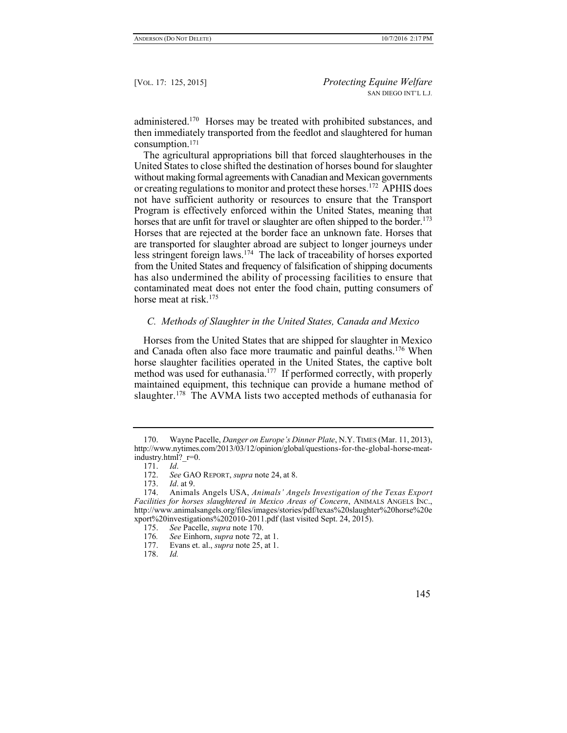administered.<sup>170</sup> Horses may be treated with prohibited substances, and then immediately transported from the feedlot and slaughtered for human consumption.<sup>171</sup>

The agricultural appropriations bill that forced slaughterhouses in the United States to close shifted the destination of horses bound for slaughter without making formal agreements with Canadian and Mexican governments or creating regulations to monitor and protect these horses.<sup>172</sup> APHIS does not have sufficient authority or resources to ensure that the Transport Program is effectively enforced within the United States, meaning that horses that are unfit for travel or slaughter are often shipped to the border.<sup>173</sup> Horses that are rejected at the border face an unknown fate. Horses that are transported for slaughter abroad are subject to longer journeys under less stringent foreign laws.<sup>174</sup> The lack of traceability of horses exported from the United States and frequency of falsification of shipping documents has also undermined the ability of processing facilities to ensure that contaminated meat does not enter the food chain, putting consumers of horse meat at risk  $175$ 

#### *C. Methods of Slaughter in the United States, Canada and Mexico*

Horses from the United States that are shipped for slaughter in Mexico and Canada often also face more traumatic and painful deaths.<sup>176</sup> When horse slaughter facilities operated in the United States, the captive bolt method was used for euthanasia.<sup>177</sup> If performed correctly, with properly maintained equipment, this technique can provide a humane method of slaughter.<sup>178</sup> The AVMA lists two accepted methods of euthanasia for

<sup>170.</sup> Wayne Pacelle, *Danger on Europe's Dinner Plate*, N.Y.TIMES (Mar. 11, 2013), http://www.nytimes.com/2013/03/12/opinion/global/questions-for-the-global-horse-meatindustry.html? $r=0$ .

<sup>171.</sup> *Id*. See GAO REPORT, *supra* note 24, at 8.

<sup>173.</sup> *Id*. at 9.

<sup>174.</sup> Animals Angels USA, *Animals' Angels Investigation of the Texas Export Facilities for horses slaughtered in Mexico Areas of Concern*, ANIMALS ANGELS INC., http://www.animalsangels.org/files/images/stories/pdf/texas%20slaughter%20horse%20e xport%20investigations%202010-2011.pdf (last visited Sept. 24, 2015).

<sup>175.</sup> *See* Pacelle, *supra* note 170.

<sup>176</sup>*. See* Einhorn, *supra* note 72, at 1.

<sup>177.</sup> Evans et. al., *supra* note 25, at 1.

<sup>178.</sup> *Id.*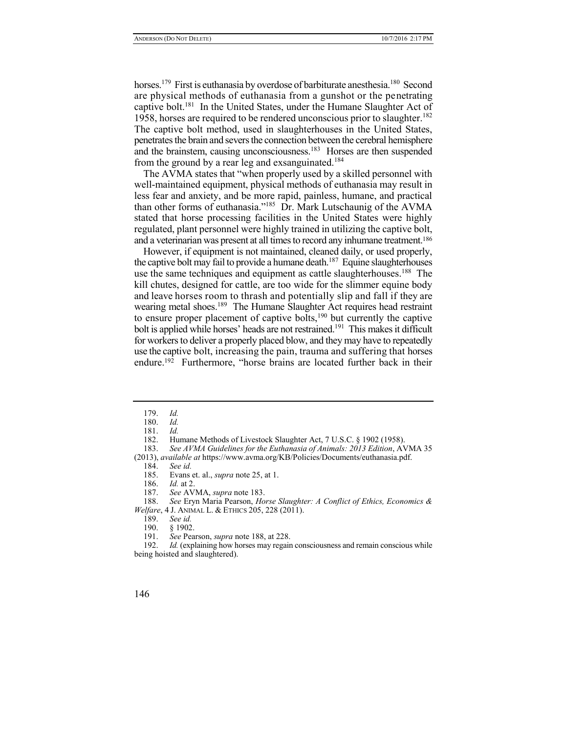horses.<sup>179</sup> First is euthanasia by overdose of barbiturate anesthesia.<sup>180</sup> Second are physical methods of euthanasia from a gunshot or the penetrating captive bolt.<sup>181</sup> In the United States, under the Humane Slaughter Act of 1958, horses are required to be rendered unconscious prior to slaughter.<sup>182</sup> The captive bolt method, used in slaughterhouses in the United States, penetrates the brain and severs the connection between the cerebral hemisphere and the brainstem, causing unconsciousness.<sup>183</sup> Horses are then suspended from the ground by a rear leg and exsanguinated.<sup>184</sup>

The AVMA states that "when properly used by a skilled personnel with well-maintained equipment, physical methods of euthanasia may result in less fear and anxiety, and be more rapid, painless, humane, and practical than other forms of euthanasia."<sup>185</sup> Dr. Mark Lutschaunig of the AVMA stated that horse processing facilities in the United States were highly regulated, plant personnel were highly trained in utilizing the captive bolt, and a veterinarian was present at all times to record any inhumane treatment.<sup>186</sup>

However, if equipment is not maintained, cleaned daily, or used properly, the captive bolt may fail to provide a humane death.<sup>187</sup> Equine slaughterhouses use the same techniques and equipment as cattle slaughterhouses.<sup>188</sup> The kill chutes, designed for cattle, are too wide for the slimmer equine body and leave horses room to thrash and potentially slip and fall if they are wearing metal shoes.<sup>189</sup> The Humane Slaughter Act requires head restraint to ensure proper placement of captive bolts,<sup>190</sup> but currently the captive bolt is applied while horses' heads are not restrained.<sup>191</sup> This makes it difficult for workers to deliver a properly placed blow, and they may have to repeatedly use the captive bolt, increasing the pain, trauma and suffering that horses endure.<sup>192</sup> Furthermore, "horse brains are located further back in their

- 189. *See id.*
- $$1902.$

<sup>179.</sup> *Id.*

<sup>180.</sup> *Id.*

<sup>181.</sup> *Id.*

<sup>182.</sup> Humane Methods of Livestock Slaughter Act, 7 U.S.C. § 1902 (1958).

<sup>183.</sup> *See AVMA Guidelines for the Euthanasia of Animals: 2013 Edition*, AVMA 35

<sup>(2013),</sup> *available at* https://www.avma.org/KB/Policies/Documents/euthanasia.pdf.

<sup>184.</sup> *See id.*

Evans et. al., *supra* note 25, at 1.

<sup>186.</sup> *Id.* at 2.

<sup>187.</sup> *See* AVMA, *supra* note 183.

<sup>188.</sup> *See* Eryn Maria Pearson, *Horse Slaughter: A Conflict of Ethics, Economics & Welfare*, 4 J. ANIMAL L. & ETHICS 205, 228 (2011).

<sup>191.</sup> *See* Pearson, *supra* note 188, at 228.

<sup>192.</sup> *Id.* (explaining how horses may regain consciousness and remain conscious while being hoisted and slaughtered).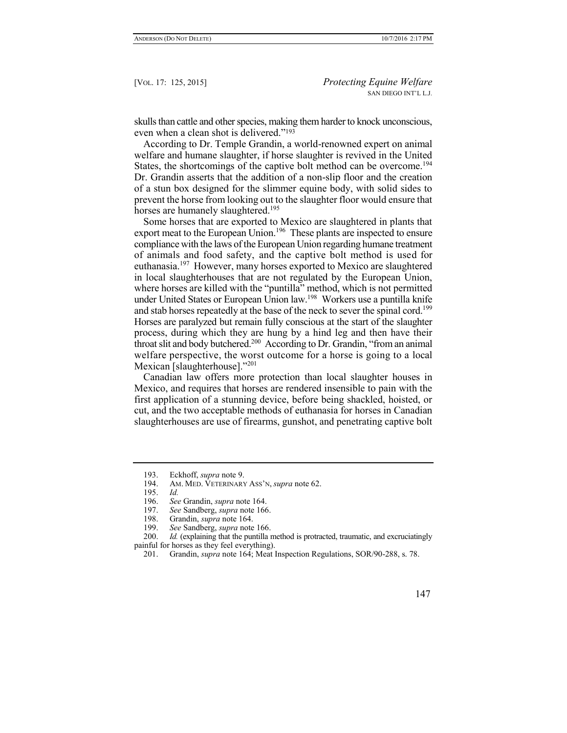skulls than cattle and other species, making them harder to knock unconscious, even when a clean shot is delivered."<sup>193</sup>

According to Dr. Temple Grandin, a world-renowned expert on animal welfare and humane slaughter, if horse slaughter is revived in the United States, the shortcomings of the captive bolt method can be overcome.<sup>194</sup> Dr. Grandin asserts that the addition of a non-slip floor and the creation of a stun box designed for the slimmer equine body, with solid sides to prevent the horse from looking out to the slaughter floor would ensure that horses are humanely slaughtered.<sup>195</sup>

Some horses that are exported to Mexico are slaughtered in plants that export meat to the European Union.<sup>196</sup> These plants are inspected to ensure compliance with the laws of the European Union regarding humane treatment of animals and food safety, and the captive bolt method is used for euthanasia.<sup>197</sup> However, many horses exported to Mexico are slaughtered in local slaughterhouses that are not regulated by the European Union, where horses are killed with the "puntilla" method, which is not permitted under United States or European Union law.<sup>198</sup> Workers use a puntilla knife and stab horses repeatedly at the base of the neck to sever the spinal cord.<sup>199</sup> Horses are paralyzed but remain fully conscious at the start of the slaughter process, during which they are hung by a hind leg and then have their throat slit and body butchered.<sup>200</sup> According to Dr. Grandin, "from an animal welfare perspective, the worst outcome for a horse is going to a local Mexican [slaughterhouse]."<sup>201</sup>

Canadian law offers more protection than local slaughter houses in Mexico, and requires that horses are rendered insensible to pain with the first application of a stunning device, before being shackled, hoisted, or cut, and the two acceptable methods of euthanasia for horses in Canadian slaughterhouses are use of firearms, gunshot, and penetrating captive bolt

<sup>193.</sup> Eckhoff, *supra* note 9.

<sup>194.</sup> AM. MED. VETERINARY ASS'N, *supra* note 62.

<sup>195.</sup> *Id.*

<sup>196.</sup> *See* Grandin, *supra* note 164.

<sup>197.</sup> *See* Sandberg, *supra* note 166.

<sup>198.</sup> Grandin, *supra* note 164.

<sup>199.</sup> *See* Sandberg, *supra* note 166.

<sup>200.</sup> *Id.* (explaining that the puntilla method is protracted, traumatic, and excruciatingly painful for horses as they feel everything).

<sup>201.</sup> Grandin, *supra* note 164; Meat Inspection Regulations, SOR/90-288, s. 78.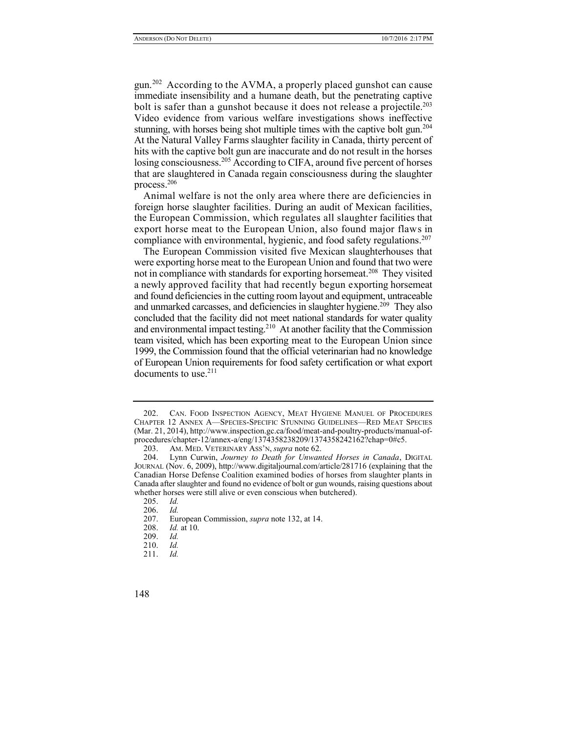gun.<sup>202</sup> According to the AVMA, a properly placed gunshot can cause immediate insensibility and a humane death, but the penetrating captive bolt is safer than a gunshot because it does not release a projectile.<sup>203</sup> Video evidence from various welfare investigations shows ineffective stunning, with horses being shot multiple times with the captive bolt gun.<sup>204</sup> At the Natural Valley Farms slaughter facility in Canada, thirty percent of hits with the captive bolt gun are inaccurate and do not result in the horses losing consciousness.<sup>205</sup> According to CIFA, around five percent of horses that are slaughtered in Canada regain consciousness during the slaughter process.<sup>206</sup>

Animal welfare is not the only area where there are deficiencies in foreign horse slaughter facilities. During an audit of Mexican facilities, the European Commission, which regulates all slaughter facilities that export horse meat to the European Union, also found major flaws in compliance with environmental, hygienic, and food safety regulations.<sup>207</sup>

The European Commission visited five Mexican slaughterhouses that were exporting horse meat to the European Union and found that two were not in compliance with standards for exporting horsemeat.<sup>208</sup> They visited a newly approved facility that had recently begun exporting horsemeat and found deficiencies in the cutting room layout and equipment, untraceable and unmarked carcasses, and deficiencies in slaughter hygiene.<sup>209</sup> They also concluded that the facility did not meet national standards for water quality and environmental impact testing.<sup>210</sup> At another facility that the Commission team visited, which has been exporting meat to the European Union since 1999, the Commission found that the official veterinarian had no knowledge of European Union requirements for food safety certification or what export documents to use. $211$ 

<sup>202.</sup> CAN. FOOD INSPECTION AGENCY, MEAT HYGIENE MANUEL OF PROCEDURES CHAPTER 12 ANNEX A—SPECIES-SPECIFIC STUNNING GUIDELINES—RED MEAT SPECIES (Mar. 21, 2014), http://www.inspection.gc.ca/food/meat-and-poultry-products/manual-ofprocedures/chapter-12/annex-a/eng/1374358238209/1374358242162?chap=0#c5.

<sup>203.</sup> AM. MED. VETERINARY ASS'N, *supra* note 62.

<sup>204.</sup> Lynn Curwin, *Journey to Death for Unwanted Horses in Canada*, DIGITAL JOURNAL (Nov. 6, 2009), http://www.digitaljournal.com/article/281716 (explaining that the Canadian Horse Defense Coalition examined bodies of horses from slaughter plants in Canada after slaughter and found no evidence of bolt or gun wounds, raising questions about whether horses were still alive or even conscious when butchered).

<sup>205.</sup> *Id.*

<sup>206.</sup> *Id.*

<sup>207.</sup> European Commission, *supra* note 132, at 14.

*Id.* at 10.

<sup>209.</sup> *Id.*

<sup>210.</sup> *Id.*

<sup>211.</sup> *Id.*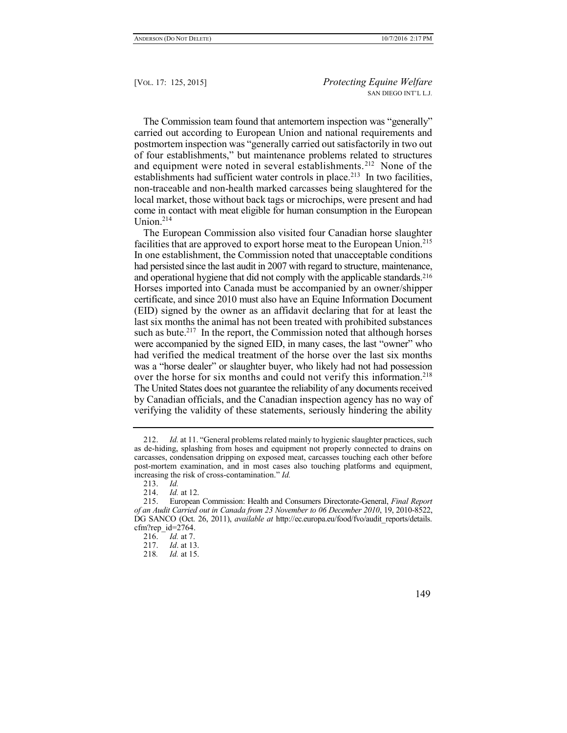The Commission team found that antemortem inspection was "generally" carried out according to European Union and national requirements and postmortem inspection was "generally carried out satisfactorily in two out of four establishments," but maintenance problems related to structures and equipment were noted in several establishments.<sup>212</sup> None of the establishments had sufficient water controls in place.<sup>213</sup> In two facilities, non-traceable and non-health marked carcasses being slaughtered for the local market, those without back tags or microchips, were present and had come in contact with meat eligible for human consumption in the European Union. $214$ 

The European Commission also visited four Canadian horse slaughter facilities that are approved to export horse meat to the European Union.<sup>215</sup> In one establishment, the Commission noted that unacceptable conditions had persisted since the last audit in 2007 with regard to structure, maintenance, and operational hygiene that did not comply with the applicable standards.<sup>216</sup> Horses imported into Canada must be accompanied by an owner/shipper certificate, and since 2010 must also have an Equine Information Document (EID) signed by the owner as an affidavit declaring that for at least the last six months the animal has not been treated with prohibited substances such as bute.<sup>217</sup> In the report, the Commission noted that although horses were accompanied by the signed EID, in many cases, the last "owner" who had verified the medical treatment of the horse over the last six months was a "horse dealer" or slaughter buyer, who likely had not had possession over the horse for six months and could not verify this information.<sup>218</sup> The United States does not guarantee the reliability of any documents received by Canadian officials, and the Canadian inspection agency has no way of verifying the validity of these statements, seriously hindering the ability

<sup>212.</sup> *Id.* at 11. "General problems related mainly to hygienic slaughter practices, such as de-hiding, splashing from hoses and equipment not properly connected to drains on carcasses, condensation dripping on exposed meat, carcasses touching each other before post-mortem examination, and in most cases also touching platforms and equipment, increasing the risk of cross-contamination." *Id.*

<sup>213.</sup> *Id.*

<sup>214.</sup> *Id.* at 12.<br>215. European

<sup>215.</sup> European Commission: Health and Consumers Directorate-General, *Final Report of an Audit Carried out in Canada from 23 November to 06 December 2010*, 19, 2010-8522, DG SANCO (Oct. 26, 2011), *available at* http://ec.europa.eu/food/fvo/audit\_reports/details. cfm?rep  $id=2764$ .

<sup>216.</sup> *Id.* at 7.

<sup>217.</sup> *Id*. at 13.

<sup>218</sup>*. Id.* at 15.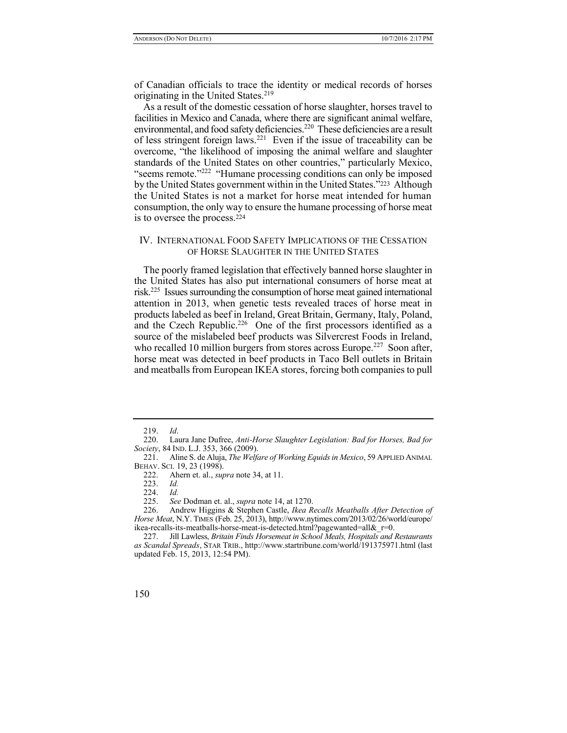of Canadian officials to trace the identity or medical records of horses originating in the United States.<sup>219</sup>

As a result of the domestic cessation of horse slaughter, horses travel to facilities in Mexico and Canada, where there are significant animal welfare, environmental, and food safety deficiencies.<sup>220</sup> These deficiencies are a result of less stringent foreign laws.<sup>221</sup> Even if the issue of traceability can be overcome, "the likelihood of imposing the animal welfare and slaughter standards of the United States on other countries," particularly Mexico, "seems remote."<sup>222</sup> "Humane processing conditions can only be imposed by the United States government within in the United States."223 Although the United States is not a market for horse meat intended for human consumption, the only way to ensure the humane processing of horse meat is to oversee the process.<sup>224</sup>

### IV. INTERNATIONAL FOOD SAFETY IMPLICATIONS OF THE CESSATION OF HORSE SLAUGHTER IN THE UNITED STATES

The poorly framed legislation that effectively banned horse slaughter in the United States has also put international consumers of horse meat at risk.<sup>225</sup> Issues surrounding the consumption of horse meat gained international attention in 2013, when genetic tests revealed traces of horse meat in products labeled as beef in Ireland, Great Britain, Germany, Italy, Poland, and the Czech Republic.<sup>226</sup> One of the first processors identified as a source of the mislabeled beef products was Silvercrest Foods in Ireland, who recalled 10 million burgers from stores across Europe.<sup>227</sup> Soon after, horse meat was detected in beef products in Taco Bell outlets in Britain and meatballs from European IKEA stores, forcing both companies to pull

<sup>219.</sup> *Id*.

<sup>220.</sup> Laura Jane Dufree, *Anti-Horse Slaughter Legislation: Bad for Horses, Bad for Society*, 84 IND. L.J. 353, 366 (2009).

<sup>221.</sup> Aline S. de Aluja, *The Welfare of Working Equids in Mexico*, 59 APPLIED ANIMAL BEHAV. SCI. 19, 23 (1998).

<sup>222.</sup> Ahern et. al., *supra* note 34, at 11.

<sup>223.</sup> *Id.*

<sup>224.</sup> *Id.*

See Dodman et. al., *supra* note 14, at 1270.

<sup>226.</sup> Andrew Higgins & Stephen Castle, *Ikea Recalls Meatballs After Detection of Horse Meat*, N.Y. TIMES (Feb. 25, 2013), http://www.nytimes.com/2013/02/26/world/europe/ ikea-recalls-its-meatballs-horse-meat-is-detected.html?pagewanted=all $\&$ r=0.

<sup>227.</sup> Jill Lawless, *Britain Finds Horsemeat in School Meals, Hospitals and Restaurants as Scandal Spreads*, STAR TRIB., http://www.startribune.com/world/191375971.html (last updated Feb. 15, 2013, 12:54 PM).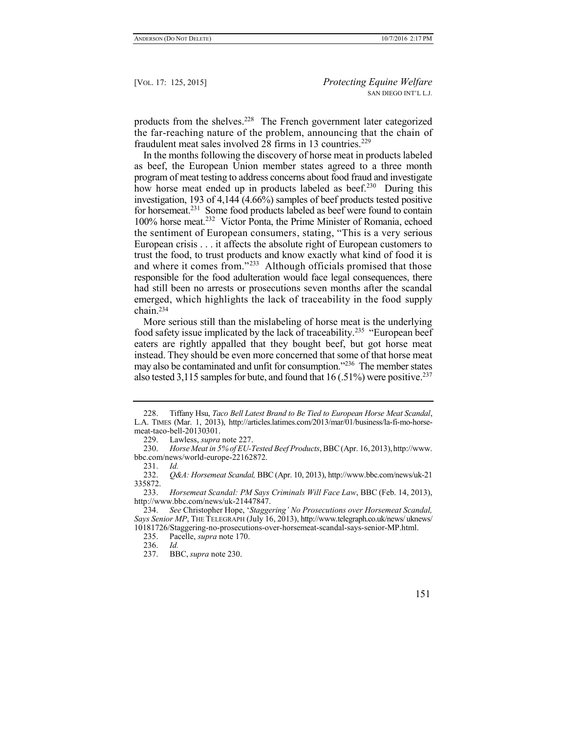products from the shelves.<sup>228</sup> The French government later categorized the far-reaching nature of the problem, announcing that the chain of fraudulent meat sales involved 28 firms in 13 countries.<sup>229</sup>

In the months following the discovery of horse meat in products labeled as beef, the European Union member states agreed to a three month program of meat testing to address concerns about food fraud and investigate how horse meat ended up in products labeled as beef.<sup>230</sup> During this investigation, 193 of 4,144  $(4.66\%)$  samples of beef products tested positive for horsemeat.<sup>231</sup> Some food products labeled as beef were found to contain 100% horse meat.<sup>232</sup> Victor Ponta, the Prime Minister of Romania, echoed the sentiment of European consumers, stating, "This is a very serious European crisis . . . it affects the absolute right of European customers to trust the food, to trust products and know exactly what kind of food it is and where it comes from."<sup>233</sup> Although officials promised that those responsible for the food adulteration would face legal consequences, there had still been no arrests or prosecutions seven months after the scandal emerged, which highlights the lack of traceability in the food supply chain.<sup>234</sup>

More serious still than the mislabeling of horse meat is the underlying food safety issue implicated by the lack of traceability.<sup>235</sup> "European beef eaters are rightly appalled that they bought beef, but got horse meat instead. They should be even more concerned that some of that horse meat may also be contaminated and unfit for consumption."<sup>236</sup> The member states also tested 3,115 samples for bute, and found that  $16$  (.51%) were positive.<sup>237</sup>

<sup>228.</sup> Tiffany Hsu, *Taco Bell Latest Brand to Be Tied to European Horse Meat Scandal*, L.A. TIMES (Mar. 1, 2013), http://articles.latimes.com/2013/mar/01/business/la-fi-mo-horsemeat-taco-bell-20130301.

<sup>229.</sup> Lawless, *supra* note 227.

<sup>230.</sup> *Horse Meat in 5% of EU-Tested Beef Products*, BBC(Apr. 16, 2013),http://www. bbc.com/news/world-europe-22162872.

<sup>231.</sup> *Id.* 232. *Q&A: Horsemeat Scandal,* BBC(Apr. 10, 2013), http://www.bbc.com/news/uk-21 335872.

<sup>233.</sup> *Horsemeat Scandal: PM Says Criminals Will Face Law*, BBC (Feb. 14, 2013), http://www.bbc.com/news/uk-21447847.

<sup>234.</sup> *See* Christopher Hope, '*Staggering' No Prosecutions over Horsemeat Scandal, Says Senior MP*, THE TELEGRAPH (July 16, 2013), http://www.telegraph.co.uk/news/ uknews/ 10181726/Staggering-no-prosecutions-over-horsemeat-scandal-says-senior-MP.html.

<sup>235.</sup> Pacelle, *supra* note 170.

<sup>236.</sup> *Id.*

<sup>237.</sup> BBC, *supra* note 230.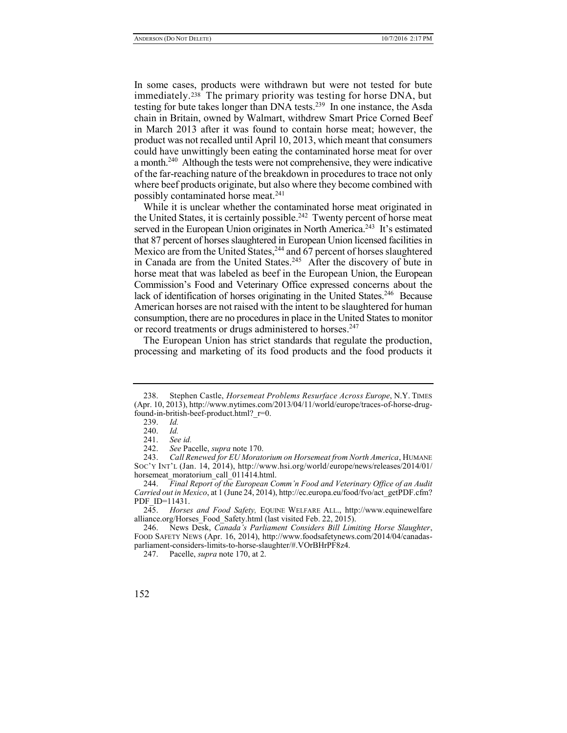In some cases, products were withdrawn but were not tested for bute immediately.<sup>238</sup> The primary priority was testing for horse DNA, but testing for bute takes longer than DNA tests.<sup>239</sup> In one instance, the Asda chain in Britain, owned by Walmart, withdrew Smart Price Corned Beef in March 2013 after it was found to contain horse meat; however, the product was not recalled until April 10, 2013, which meant that consumers could have unwittingly been eating the contaminated horse meat for over a month.<sup>240</sup> Although the tests were not comprehensive, they were indicative of the far-reaching nature of the breakdown in procedures to trace not only where beef products originate, but also where they become combined with possibly contaminated horse meat.<sup>241</sup>

While it is unclear whether the contaminated horse meat originated in the United States, it is certainly possible.<sup>242</sup> Twenty percent of horse meat served in the European Union originates in North America.<sup>243</sup> It's estimated that 87 percent of horses slaughtered in European Union licensed facilities in Mexico are from the United States,<sup>244</sup> and 67 percent of horses slaughtered in Canada are from the United States.<sup>245</sup> After the discovery of bute in horse meat that was labeled as beef in the European Union, the European Commission's Food and Veterinary Office expressed concerns about the lack of identification of horses originating in the United States.<sup>246</sup> Because American horses are not raised with the intent to be slaughtered for human consumption, there are no procedures in place in the United States to monitor or record treatments or drugs administered to horses.<sup>247</sup>

The European Union has strict standards that regulate the production, processing and marketing of its food products and the food products it

<sup>238.</sup> Stephen Castle, *Horsemeat Problems Resurface Across Europe*, N.Y. TIMES (Apr. 10, 2013), http://www.nytimes.com/2013/04/11/world/europe/traces-of-horse-drugfound-in-british-beef-product.html?\_r=0.

<sup>239.</sup> *Id.*

<sup>240.</sup> *Id.*

<sup>241.</sup> *See id.*

<sup>242.</sup> *See* Pacelle, *supra* note 170.

<sup>243.</sup> *Call Renewed for EU Moratorium on Horsemeat from North America*, HUMANE SOC'Y INT'L (Jan. 14, 2014), http://www.hsi.org/world/europe/news/releases/2014/01/ horsemeat moratorium call 011414.html.

<sup>244.</sup> *Final Report of the European Comm'n Food and Veterinary Office of an Audit Carried out in Mexico*, at 1 (June 24, 2014), http://ec.europa.eu/food/fvo/act\_getPDF.cfm? PDF ID=11431.

<sup>245.</sup> *Horses and Food Safety,* EQUINE WELFARE ALL., http://www.equinewelfare alliance.org/Horses\_Food\_Safety.html (last visited Feb. 22, 2015).

<sup>246.</sup> News Desk, *Canada's Parliament Considers Bill Limiting Horse Slaughter*, FOOD SAFETY NEWS (Apr. 16, 2014), http://www.foodsafetynews.com/2014/04/canadasparliament-considers-limits-to-horse-slaughter/#.VOrBHrPF8z4.

<sup>247.</sup> Pacelle, *supra* note 170, at 2.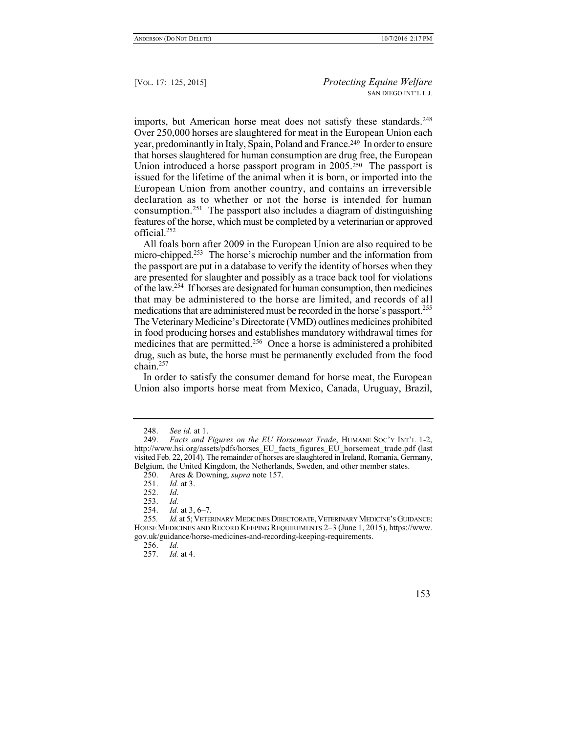imports, but American horse meat does not satisfy these standards.<sup>248</sup> Over 250,000 horses are slaughtered for meat in the European Union each year, predominantly in Italy, Spain, Poland and France.249 In order to ensure that horses slaughtered for human consumption are drug free, the European Union introduced a horse passport program in 2005.<sup>250</sup> The passport is issued for the lifetime of the animal when it is born, or imported into the European Union from another country, and contains an irreversible declaration as to whether or not the horse is intended for human consumption.<sup>251</sup> The passport also includes a diagram of distinguishing features of the horse, which must be completed by a veterinarian or approved official.<sup>252</sup>

All foals born after 2009 in the European Union are also required to be micro-chipped.<sup>253</sup> The horse's microchip number and the information from the passport are put in a database to verify the identity of horses when they are presented for slaughter and possibly as a trace back tool for violations of the law.<sup>254</sup> If horses are designated for human consumption, then medicines that may be administered to the horse are limited, and records of all medications that are administered must be recorded in the horse's passport.<sup>255</sup> The Veterinary Medicine's Directorate (VMD) outlines medicines prohibited in food producing horses and establishes mandatory withdrawal times for medicines that are permitted.<sup>256</sup> Once a horse is administered a prohibited drug, such as bute, the horse must be permanently excluded from the food  $chain<sup>257</sup>$ 

In order to satisfy the consumer demand for horse meat, the European Union also imports horse meat from Mexico, Canada, Uruguay, Brazil,

<sup>248.</sup> *See id.* at 1.

<sup>249.</sup> *Facts and Figures on the EU Horsemeat Trade*, HUMANE SOC'Y INT'L 1-2, http://www.hsi.org/assets/pdfs/horses\_EU\_facts\_figures\_EU\_horsemeat\_trade.pdf (last visited Feb. 22, 2014). The remainder of horses are slaughtered in Ireland, Romania, Germany, Belgium, the United Kingdom, the Netherlands, Sweden, and other member states.

<sup>250.</sup> Ares & Downing, *supra* note 157.

<sup>251.</sup> *Id.* at 3.

<sup>252.</sup> *Id*.

<sup>253.</sup> *Id.*

<sup>254.</sup> *Id.* at 3, 6–7.

<sup>255</sup>*. Id.* at 5;VETERINARY MEDICINES DIRECTORATE,VETERINARY MEDICINE'S GUIDANCE: HORSE MEDICINES AND RECORD KEEPING REQUIREMENTS 2–3 (June 1, 2015), https://www. gov.uk/guidance/horse-medicines-and-recording-keeping-requirements.

<sup>256.</sup> *Id.*

<sup>257.</sup> *Id.* at 4.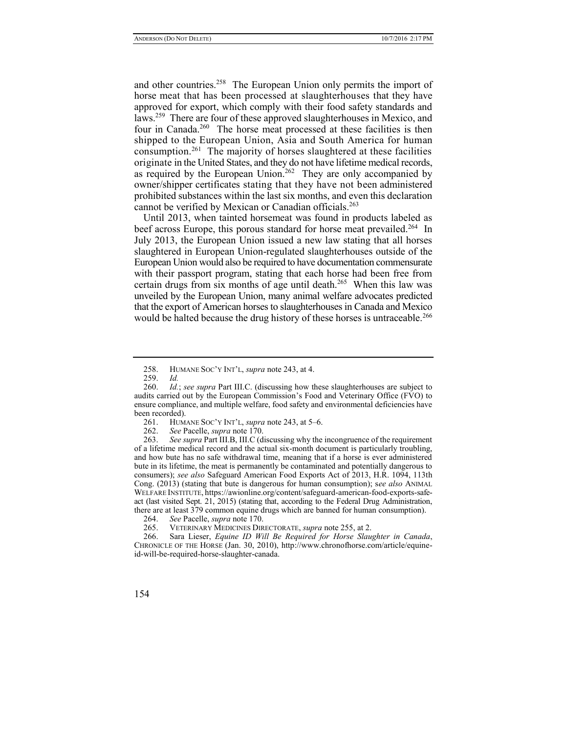and other countries.<sup>258</sup> The European Union only permits the import of horse meat that has been processed at slaughterhouses that they have approved for export, which comply with their food safety standards and laws.<sup>259</sup> There are four of these approved slaughterhouses in Mexico, and four in Canada.<sup>260</sup> The horse meat processed at these facilities is then shipped to the European Union, Asia and South America for human consumption.<sup>261</sup> The majority of horses slaughtered at these facilities originate in the United States, and they do not have lifetime medical records, as required by the European Union.<sup>262</sup> They are only accompanied by owner/shipper certificates stating that they have not been administered prohibited substances within the last six months, and even this declaration cannot be verified by Mexican or Canadian officials.<sup>263</sup>

Until 2013, when tainted horsemeat was found in products labeled as beef across Europe, this porous standard for horse meat prevailed.<sup>264</sup> In July 2013, the European Union issued a new law stating that all horses slaughtered in European Union-regulated slaughterhouses outside of the European Union would also be required to have documentation commensurate with their passport program, stating that each horse had been free from certain drugs from six months of age until death.<sup>265</sup> When this law was unveiled by the European Union, many animal welfare advocates predicted that the export of American horses to slaughterhouses in Canada and Mexico would be halted because the drug history of these horses is untraceable.<sup>266</sup>

<sup>258.</sup> HUMANE SOC'Y INT'L, *supra* note 243, at 4.

<sup>259.</sup> *Id.*

<sup>260.</sup> *Id.*; *see supra* Part III.C. (discussing how these slaughterhouses are subject to audits carried out by the European Commission's Food and Veterinary Office (FVO) to ensure compliance, and multiple welfare, food safety and environmental deficiencies have been recorded).<br>261. HUM

<sup>261.</sup> HUMANE SOC'Y INT'L, *supra* note 243, at 5–6.

<sup>262.</sup> *See* Pacelle, *supra* note 170.

<sup>263.</sup> *See supra* Part III.B, III.C (discussing why the incongruence of the requirement of a lifetime medical record and the actual six-month document is particularly troubling, and how bute has no safe withdrawal time, meaning that if a horse is ever administered bute in its lifetime, the meat is permanently be contaminated and potentially dangerous to consumers); *see also* Safeguard American Food Exports Act of 2013, H.R. 1094, 113th Cong. (2013) (stating that bute is dangerous for human consumption); s*ee also* ANIMAL WELFARE INSTITUTE, https://awionline.org/content/safeguard-american-food-exports-safeact (last visited Sept. 21, 2015) (stating that, according to the Federal Drug Administration, there are at least 379 common equine drugs which are banned for human consumption).

<sup>264.</sup> *See* Pacelle, *supra* note 170.

<sup>265.</sup> VETERINARY MEDICINES DIRECTORATE, *supra* note 255, at 2.

<sup>266.</sup> Sara Lieser, *Equine ID Will Be Required for Horse Slaughter in Canada*, CHRONICLE OF THE HORSE (Jan. 30, 2010), http://www.chronofhorse.com/article/equineid-will-be-required-horse-slaughter-canada.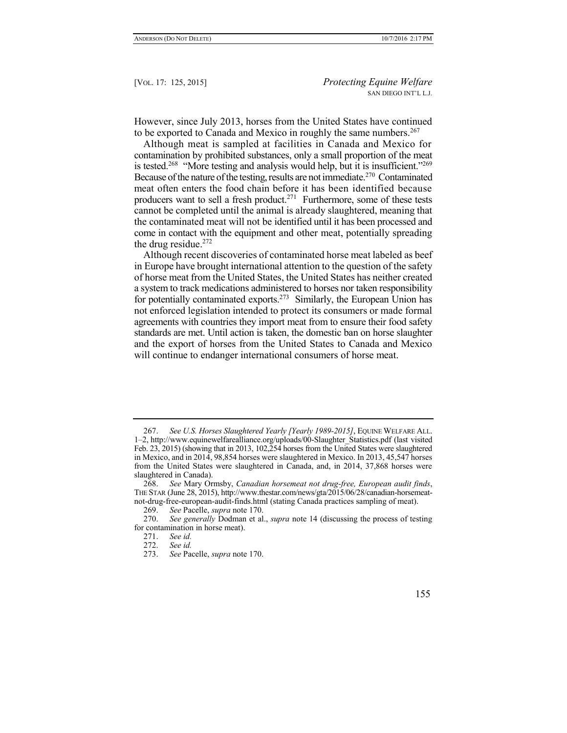However, since July 2013, horses from the United States have continued to be exported to Canada and Mexico in roughly the same numbers.<sup>267</sup>

Although meat is sampled at facilities in Canada and Mexico for contamination by prohibited substances, only a small proportion of the meat is tested.<sup>268</sup> "More testing and analysis would help, but it is insufficient."<sup>269</sup> Because of the nature of the testing, results are not immediate.<sup>270</sup> Contaminated meat often enters the food chain before it has been identified because producers want to sell a fresh product.<sup>271</sup> Furthermore, some of these tests cannot be completed until the animal is already slaughtered, meaning that the contaminated meat will not be identified until it has been processed and come in contact with the equipment and other meat, potentially spreading the drug residue. $272$ 

Although recent discoveries of contaminated horse meat labeled as beef in Europe have brought international attention to the question of the safety of horse meat from the United States, the United States has neither created a system to track medications administered to horses nor taken responsibility for potentially contaminated exports.<sup>273</sup> Similarly, the European Union has not enforced legislation intended to protect its consumers or made formal agreements with countries they import meat from to ensure their food safety standards are met. Until action is taken, the domestic ban on horse slaughter and the export of horses from the United States to Canada and Mexico will continue to endanger international consumers of horse meat.

<sup>267.</sup> *See U.S. Horses Slaughtered Yearly [Yearly 1989-2015]*, EQUINE WELFARE ALL. 1–2, http://www.equinewelfarealliance.org/uploads/00-Slaughter\_Statistics.pdf (last visited Feb. 23, 2015) (showing that in 2013, 102,254 horses from the United States were slaughtered in Mexico, and in 2014, 98,854 horses were slaughtered in Mexico. In 2013, 45,547 horses from the United States were slaughtered in Canada, and, in 2014, 37,868 horses were slaughtered in Canada).

<sup>268.</sup> *See* Mary Ormsby, *Canadian horsemeat not drug-free, European audit finds*, THE STAR (June 28, 2015), http://www.thestar.com/news/gta/2015/06/28/canadian-horsemeatnot-drug-free-european-audit-finds.html (stating Canada practices sampling of meat).

<sup>269.</sup> *See* Pacelle, *supra* note 170.

<sup>270.</sup> *See generally* Dodman et al., *supra* note 14 (discussing the process of testing for contamination in horse meat).

<sup>271.</sup> *See id.*

<sup>272.</sup> *See id.*

<sup>273.</sup> *See* Pacelle, *supra* note 170.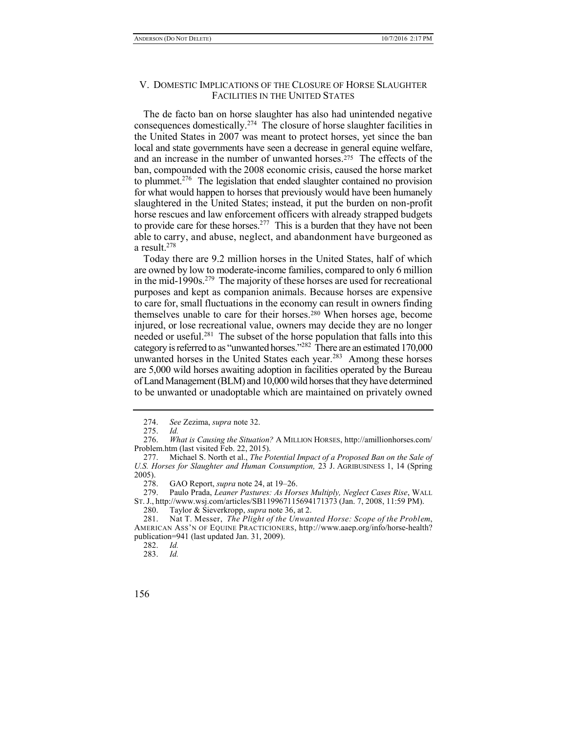## V. DOMESTIC IMPLICATIONS OF THE CLOSURE OF HORSE SLAUGHTER FACILITIES IN THE UNITED STATES

The de facto ban on horse slaughter has also had unintended negative consequences domestically.<sup>274</sup> The closure of horse slaughter facilities in the United States in 2007 was meant to protect horses, yet since the ban local and state governments have seen a decrease in general equine welfare. and an increase in the number of unwanted horses  $275$ . The effects of the ban, compounded with the 2008 economic crisis, caused the horse market to plummet.<sup>276</sup> The legislation that ended slaughter contained no provision for what would happen to horses that previously would have been humanely slaughtered in the United States; instead, it put the burden on non-profit horse rescues and law enforcement officers with already strapped budgets to provide care for these horses.<sup>277</sup> This is a burden that they have not been able to carry, and abuse, neglect, and abandonment have burgeoned as a result.<sup>278</sup>

Today there are 9.2 million horses in the United States, half of which are owned by low to moderate-income families, compared to only 6 million in the mid-1990s.<sup>279</sup> The majority of these horses are used for recreational purposes and kept as companion animals. Because horses are expensive to care for, small fluctuations in the economy can result in owners finding themselves unable to care for their horses.<sup>280</sup> When horses age, become injured, or lose recreational value, owners may decide they are no longer needed or useful.<sup>281</sup> The subset of the horse population that falls into this category is referred to as "unwanted horses."<sup>282</sup> There are an estimated 170,000 unwanted horses in the United States each year.<sup>283</sup> Among these horses are 5,000 wild horses awaiting adoption in facilities operated by the Bureau of Land Management (BLM) and 10,000 wild horses that they have determined to be unwanted or unadoptable which are maintained on privately owned

278. GAO Report, *supra* note 24, at 19–26.

<sup>274.</sup> *See* Zezima, *supra* note 32.

<sup>275.</sup> *Id.*

<sup>276.</sup> *What is Causing the Situation?* A MILLION HORSES, http://amillionhorses.com/ Problem.htm (last visited Feb. 22, 2015).

<sup>277.</sup> Michael S. North et al., *The Potential Impact of a Proposed Ban on the Sale of U.S. Horses for Slaughter and Human Consumption,* 23 J. AGRIBUSINESS 1, 14 (Spring 2005).

<sup>279.</sup> Paulo Prada, *Leaner Pastures: As Horses Multiply, Neglect Cases Rise*, WALL ST. J., http://www.wsj.com/articles/SB119967115694171373 (Jan. 7, 2008, 11:59 PM).

<sup>280.</sup> Taylor & Sieverkropp, *supra* note 36, at 2.

<sup>281.</sup> Nat T. Messer, *The Plight of the Unwanted Horse: Scope of the Problem*, AMERICAN ASS'N OF EQUINE PRACTICIONERS, http://www.aaep.org/info/horse-health? publication=941 (last updated Jan. 31, 2009).

<sup>282.</sup> *Id.*

<sup>283.</sup> *Id.*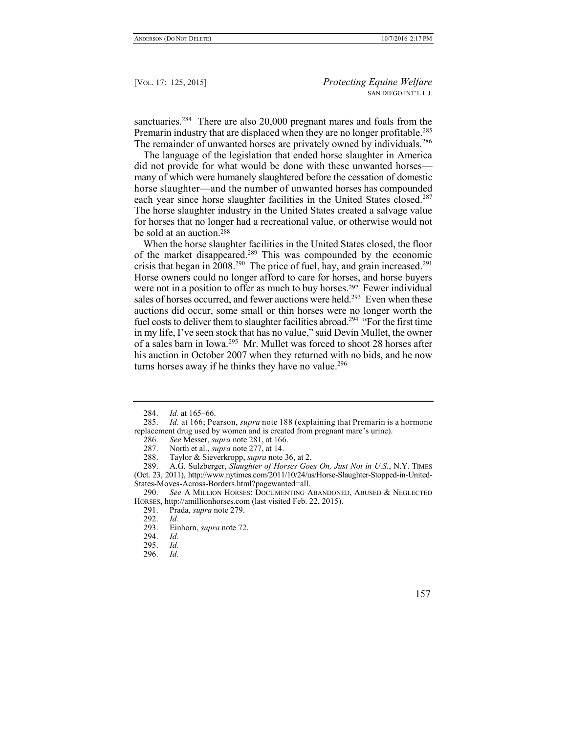sanctuaries.<sup>284</sup> There are also 20,000 pregnant mares and foals from the Premarin industry that are displaced when they are no longer profitable.<sup>285</sup> The remainder of unwanted horses are privately owned by individuals.<sup>286</sup>

The language of the legislation that ended horse slaughter in America did not provide for what would be done with these unwanted horses many of which were humanely slaughtered before the cessation of domestic horse slaughter—and the number of unwanted horses has compounded each year since horse slaughter facilities in the United States closed.<sup>287</sup> The horse slaughter industry in the United States created a salvage value for horses that no longer had a recreational value, or otherwise would not be sold at an auction.<sup>288</sup>

When the horse slaughter facilities in the United States closed, the floor of the market disappeared.<sup>289</sup> This was compounded by the economic crisis that began in 2008.<sup>290</sup> The price of fuel, hay, and grain increased.<sup>291</sup> Horse owners could no longer afford to care for horses, and horse buyers were not in a position to offer as much to buy horses.<sup>292</sup> Fewer individual sales of horses occurred, and fewer auctions were held.<sup>293</sup> Even when these auctions did occur, some small or thin horses were no longer worth the fuel costs to deliver them to slaughter facilities abroad.<sup>294</sup> "For the first time in my life, I've seen stock that has no value," said Devin Mullet, the owner of a sales barn in Iowa.<sup>295</sup> Mr. Mullet was forced to shoot 28 horses after his auction in October 2007 when they returned with no bids, and he now turns horses away if he thinks they have no value.<sup>296</sup>

<sup>284.</sup> *Id.* at 165–66.

<sup>285.</sup> *Id.* at 166; Pearson, *supra* note 188 (explaining that Premarin is a hormone replacement drug used by women and is created from pregnant mare's urine).

<sup>286.</sup> *See* Messer, *supra* note 281, at 166.

<sup>287.</sup> North et al., *supra* note 277, at 14.

<sup>288.</sup> Taylor & Sieverkropp, *supra* note 36, at 2.

<sup>289.</sup> A.G. Sulzberger, *Slaughter of Horses Goes On, Just Not in U.S.*, N.Y. TIMES (Oct. 23, 2011), http://www.nytimes.com/2011/10/24/us/Horse-Slaughter-Stopped-in-United-States-Moves-Across-Borders.html?pagewanted=all.

<sup>290.</sup> *See* A MILLION HORSES: DOCUMENTING ABANDONED, ABUSED & NEGLECTED HORSES, http://amillionhorses.com (last visited Feb. 22, 2015).

<sup>291.</sup> Prada, *supra* note 279.

<sup>292.</sup> *Id.* Einhorn, *supra* note 72.

<sup>294.</sup> *Id.*

<sup>295.</sup> *Id.*

<sup>296.</sup> *Id.*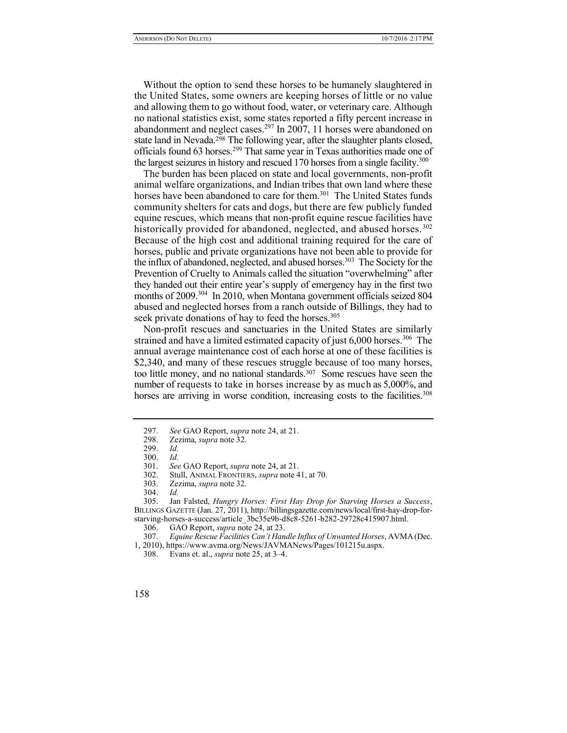Without the option to send these horses to be humanely slaughtered in the United States, some owners are keeping horses of little or no value and allowing them to go without food, water, or veterinary care. Although no national statistics exist, some states reported a fifty percent increase in abandonment and neglect cases.<sup>297</sup> In 2007, 11 horses were abandoned on state land in Nevada.<sup>298</sup> The following year, after the slaughter plants closed, officials found 63 horses.<sup>299</sup> That same year in Texas authorities made one of the largest seizures in history and rescued 170 horses from a single facility.<sup>300</sup>

The burden has been placed on state and local governments, non-profit animal welfare organizations, and Indian tribes that own land where these horses have been abandoned to care for them.<sup>301</sup> The United States funds community shelters for cats and dogs, but there are few publicly funded equine rescues, which means that non-profit equine rescue facilities have historically provided for abandoned, neglected, and abused horses.<sup>302</sup> Because of the high cost and additional training required for the care of horses, public and private organizations have not been able to provide for the influx of abandoned, neglected, and abused horses.<sup>303</sup> The Society for the Prevention of Cruelty to Animals called the situation "overwhelming" after they handed out their entire year's supply of emergency hay in the first two months of 2009.<sup>304</sup> In 2010, when Montana government officials seized 804 abused and neglected horses from a ranch outside of Billings, they had to seek private donations of hay to feed the horses.<sup>305</sup>

Non-profit rescues and sanctuaries in the United States are similarly strained and have a limited estimated capacity of just  $6,000$  horses.<sup>306</sup> The annual average maintenance cost of each horse at one of these facilities is \$2,340, and many of these rescues struggle because of too many horses, too little money, and no national standards.<sup>307</sup> Some rescues have seen the number of requests to take in horses increase by as much as 5,000%, and horses are arriving in worse condition, increasing costs to the facilities.<sup>308</sup>

<sup>297.</sup> *See* GAO Report, *supra* note 24, at 21.

<sup>298.</sup> Zezima, *supra* note 32.

<sup>299.</sup> *Id.*

<sup>300.</sup> *Id.*

<sup>301.</sup> *See* GAO Report, *supra* note 24, at 21.

Stull, ANIMAL FRONTIERS, *supra* note 41, at 70.

<sup>303.</sup> Zezima, *supra* note 32.

<sup>304.</sup> *Id.*

<sup>305.</sup> Jan Falsted, *Hungry Horses: First Hay Drop for Starving Horses a Success*, BILLINGS GAZETTE (Jan. 27, 2011), http://billingsgazette.com/news/local/first-hay-drop-forstarving-horses-a-success/article\_3bc35e9b-d8c8-5261-b282-29728c415907.html.

<sup>306.</sup> GAO Report, *supra* note 24, at 23.

<sup>307.</sup> *Equine Rescue Facilities Can't Handle Influx of Unwanted Horses*, AVMA(Dec.

<sup>1, 2010),</sup> https://www.avma.org/News/JAVMANews/Pages/101215u.aspx.

<sup>308.</sup> Evans et. al., *supra* note 25, at 3–4.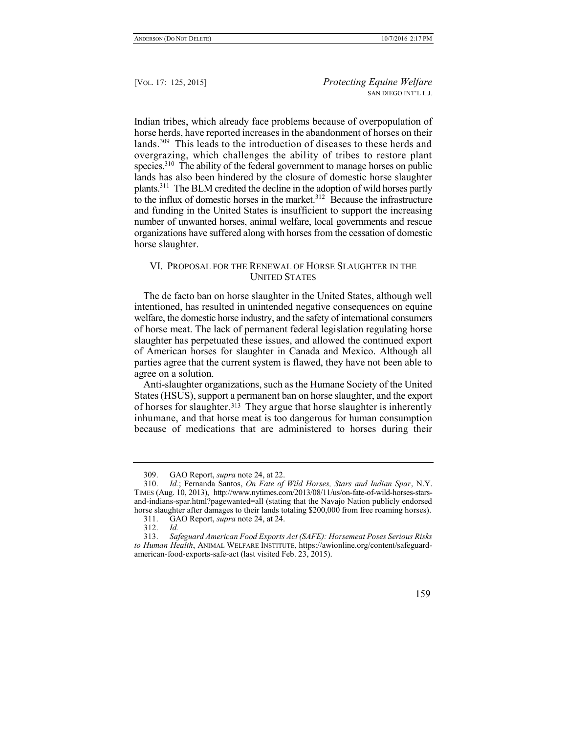Indian tribes, which already face problems because of overpopulation of horse herds, have reported increases in the abandonment of horses on their lands.<sup>309</sup> This leads to the introduction of diseases to these herds and overgrazing, which challenges the ability of tribes to restore plant species.<sup>310</sup> The ability of the federal government to manage horses on public lands has also been hindered by the closure of domestic horse slaughter plants.<sup>311</sup> The BLM credited the decline in the adoption of wild horses partly to the influx of domestic horses in the market. $312$  Because the infrastructure and funding in the United States is insufficient to support the increasing number of unwanted horses, animal welfare, local governments and rescue organizations have suffered along with horses from the cessation of domestic horse slaughter.

## VI. PROPOSAL FOR THE RENEWAL OF HORSE SLAUGHTER IN THE UNITED STATES

The de facto ban on horse slaughter in the United States, although well intentioned, has resulted in unintended negative consequences on equine welfare, the domestic horse industry, and the safety of international consumers of horse meat. The lack of permanent federal legislation regulating horse slaughter has perpetuated these issues, and allowed the continued export of American horses for slaughter in Canada and Mexico. Although all parties agree that the current system is flawed, they have not been able to agree on a solution.

Anti-slaughter organizations, such as the Humane Society of the United States (HSUS), support a permanent ban on horse slaughter, and the export of horses for slaughter.313 They argue that horse slaughter is inherently inhumane, and that horse meat is too dangerous for human consumption because of medications that are administered to horses during their

<sup>309.</sup> GAO Report, *supra* note 24, at 22.

<sup>310.</sup> *Id.*; Fernanda Santos, *On Fate of Wild Horses, Stars and Indian Spar*, N.Y. TIMES (Aug. 10, 2013), http://www.nytimes.com/2013/08/11/us/on-fate-of-wild-horses-starsand-indians-spar.html?pagewanted=all (stating that the Navajo Nation publicly endorsed horse slaughter after damages to their lands totaling \$200,000 from free roaming horses).

<sup>311.</sup> GAO Report, *supra* note 24, at 24.

<sup>312.</sup> *Id.*

<sup>313.</sup> *Safeguard American Food Exports Act (SAFE): Horsemeat Poses Serious Risks to Human Health*, ANIMAL WELFARE INSTITUTE, https://awionline.org/content/safeguardamerican-food-exports-safe-act (last visited Feb. 23, 2015).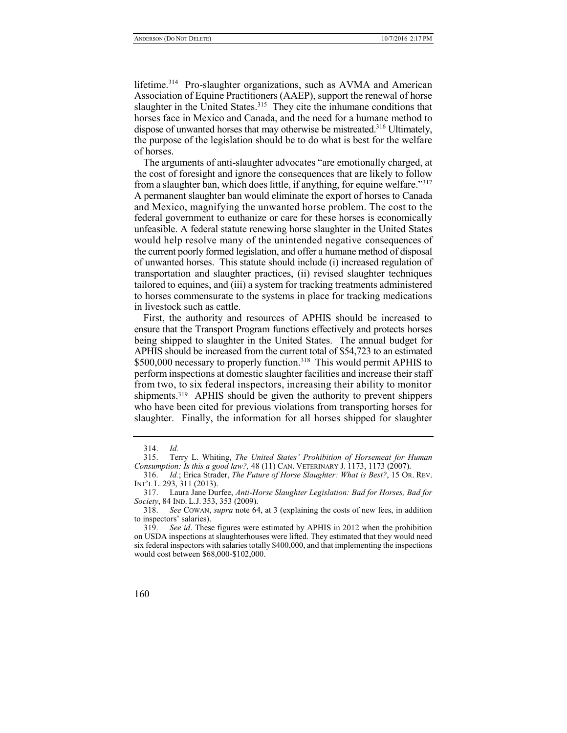lifetime.<sup>314</sup> Pro-slaughter organizations, such as AVMA and American Association of Equine Practitioners (AAEP), support the renewal of horse slaughter in the United States.<sup>315</sup> They cite the inhumane conditions that horses face in Mexico and Canada, and the need for a humane method to dispose of unwanted horses that may otherwise be mistreated.<sup>316</sup> Ultimately, the purpose of the legislation should be to do what is best for the welfare of horses.

The arguments of anti-slaughter advocates "are emotionally charged, at the cost of foresight and ignore the consequences that are likely to follow from a slaughter ban, which does little, if anything, for equine welfare."<sup>317</sup> A permanent slaughter ban would eliminate the export of horses to Canada and Mexico, magnifying the unwanted horse problem. The cost to the federal government to euthanize or care for these horses is economically unfeasible. A federal statute renewing horse slaughter in the United States would help resolve many of the unintended negative consequences of the current poorly formed legislation, and offer a humane method of disposal of unwanted horses. This statute should include (i) increased regulation of transportation and slaughter practices, (ii) revised slaughter techniques tailored to equines, and (iii) a system for tracking treatments administered to horses commensurate to the systems in place for tracking medications in livestock such as cattle.

First, the authority and resources of APHIS should be increased to ensure that the Transport Program functions effectively and protects horses being shipped to slaughter in the United States. The annual budget for APHIS should be increased from the current total of \$54,723 to an estimated \$500,000 necessary to properly function.<sup>318</sup> This would permit APHIS to perform inspections at domestic slaughter facilities and increase their staff from two, to six federal inspectors, increasing their ability to monitor shipments.<sup>319</sup> APHIS should be given the authority to prevent shippers who have been cited for previous violations from transporting horses for slaughter. Finally, the information for all horses shipped for slaughter

<sup>314.</sup> *Id.*

<sup>315.</sup> Terry L. Whiting, *The United States' Prohibition of Horsemeat for Human Consumption: Is this a good law?,* 48 (11) CAN. VETERINARY J. 1173, 1173 (2007).

<sup>316.</sup> *Id.*; Erica Strader, *The Future of Horse Slaughter: What is Best?*, 15 OR. REV. INT'L L. 293, 311 (2013).

<sup>317.</sup> Laura Jane Durfee, *Anti-Horse Slaughter Legislation: Bad for Horses, Bad for Society*, 84 IND. L.J. 353, 353 (2009).

<sup>318.</sup> *See* COWAN, *supra* note 64, at 3 (explaining the costs of new fees, in addition to inspectors' salaries).

<sup>319.</sup> *See id*. These figures were estimated by APHIS in 2012 when the prohibition on USDA inspections at slaughterhouses were lifted. They estimated that they would need six federal inspectors with salaries totally \$400,000, and that implementing the inspections would cost between \$68,000-\$102,000.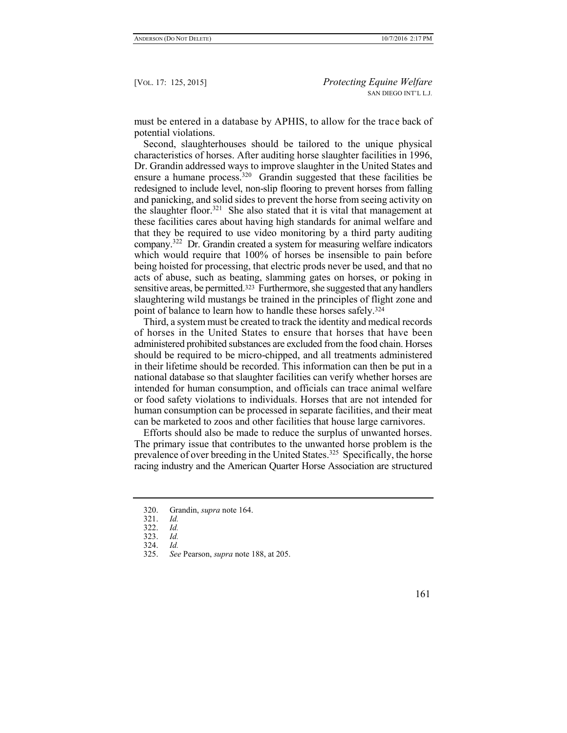must be entered in a database by APHIS, to allow for the trace back of potential violations.

Second, slaughterhouses should be tailored to the unique physical characteristics of horses. After auditing horse slaughter facilities in 1996, Dr. Grandin addressed ways to improve slaughter in the United States and ensure a humane process.<sup>320</sup> Grandin suggested that these facilities be redesigned to include level, non-slip flooring to prevent horses from falling and panicking, and solid sides to prevent the horse from seeing activity on the slaughter floor.<sup>321</sup> She also stated that it is vital that management at these facilities cares about having high standards for animal welfare and that they be required to use video monitoring by a third party auditing company.<sup>322</sup> Dr. Grandin created a system for measuring welfare indicators which would require that 100% of horses be insensible to pain before being hoisted for processing, that electric prods never be used, and that no acts of abuse, such as beating, slamming gates on horses, or poking in sensitive areas, be permitted.<sup>323</sup> Furthermore, she suggested that any handlers slaughtering wild mustangs be trained in the principles of flight zone and point of balance to learn how to handle these horses safely.<sup>324</sup>

Third, a system must be created to track the identity and medical records of horses in the United States to ensure that horses that have been administered prohibited substances are excluded from the food chain. Horses should be required to be micro-chipped, and all treatments administered in their lifetime should be recorded. This information can then be put in a national database so that slaughter facilities can verify whether horses are intended for human consumption, and officials can trace animal welfare or food safety violations to individuals. Horses that are not intended for human consumption can be processed in separate facilities, and their meat can be marketed to zoos and other facilities that house large carnivores.

Efforts should also be made to reduce the surplus of unwanted horses. The primary issue that contributes to the unwanted horse problem is the prevalence of over breeding in the United States.<sup>325</sup> Specifically, the horse racing industry and the American Quarter Horse Association are structured

<sup>320.</sup> Grandin, *supra* note 164.

<sup>321.</sup> *Id.*

<sup>322.</sup> *Id.*

<sup>323.</sup> *Id.*

<sup>324.</sup> *Id.*

<sup>325.</sup> *See* Pearson, *supra* note 188, at 205.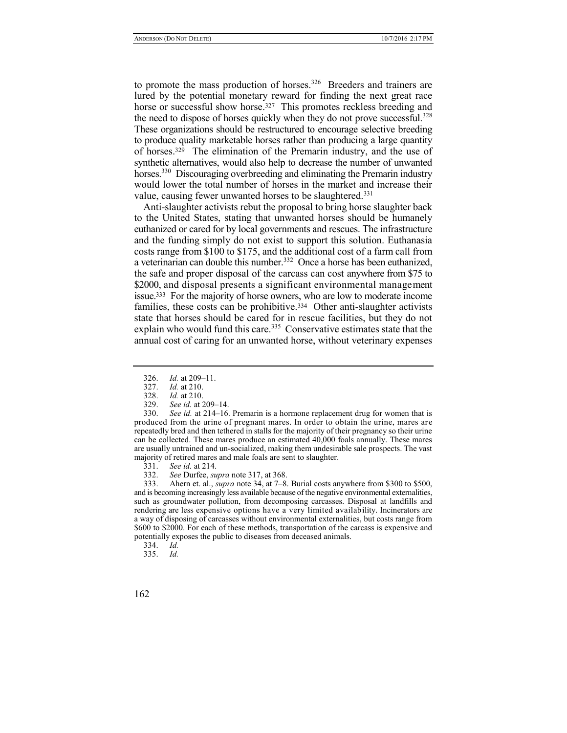to promote the mass production of horses.<sup>326</sup> Breeders and trainers are lured by the potential monetary reward for finding the next great race horse or successful show horse.<sup>327</sup> This promotes reckless breeding and the need to dispose of horses quickly when they do not prove successful.<sup>328</sup> These organizations should be restructured to encourage selective breeding to produce quality marketable horses rather than producing a large quantity of horses.<sup>329</sup> The elimination of the Premarin industry, and the use of synthetic alternatives, would also help to decrease the number of unwanted horses.<sup>330</sup> Discouraging overbreeding and eliminating the Premarin industry would lower the total number of horses in the market and increase their value, causing fewer unwanted horses to be slaughtered.<sup>331</sup>

Anti-slaughter activists rebut the proposal to bring horse slaughter back to the United States, stating that unwanted horses should be humanely euthanized or cared for by local governments and rescues. The infrastructure and the funding simply do not exist to support this solution. Euthanasia costs range from \$100 to \$175, and the additional cost of a farm call from a veterinarian can double this number.<sup>332</sup> Once a horse has been euthanized, the safe and proper disposal of the carcass can cost anywhere from \$75 to \$2000, and disposal presents a significant environmental management issue.333 For the majority of horse owners, who are low to moderate income families, these costs can be prohibitive.334 Other anti-slaughter activists state that horses should be cared for in rescue facilities, but they do not explain who would fund this care.<sup>335</sup> Conservative estimates state that the annual cost of caring for an unwanted horse, without veterinary expenses

329. *See id.* at 209–14.

330. *See id.* at 214–16. Premarin is a hormone replacement drug for women that is produced from the urine of pregnant mares. In order to obtain the urine, mares are repeatedly bred and then tethered in stalls for the majority of their pregnancy so their urine can be collected. These mares produce an estimated 40,000 foals annually. These mares are usually untrained and un-socialized, making them undesirable sale prospects. The vast majority of retired mares and male foals are sent to slaughter.

- 331. *See id.* at 214.
- 332. *See* Durfee, *supra* note 317, at 368.

333. Ahern et. al., *supra* note 34, at 7–8. Burial costs anywhere from \$300 to \$500, and is becoming increasingly less available because of the negative environmental externalities, such as groundwater pollution, from decomposing carcasses. Disposal at landfills and rendering are less expensive options have a very limited availability. Incinerators are a way of disposing of carcasses without environmental externalities, but costs range from \$600 to \$2000. For each of these methods, transportation of the carcass is expensive and potentially exposes the public to diseases from deceased animals.

334. *Id.*

335. *Id.*

<sup>326.</sup> *Id.* at 209–11.

<sup>327.</sup> *Id.* at 210.

*Id.* at 210.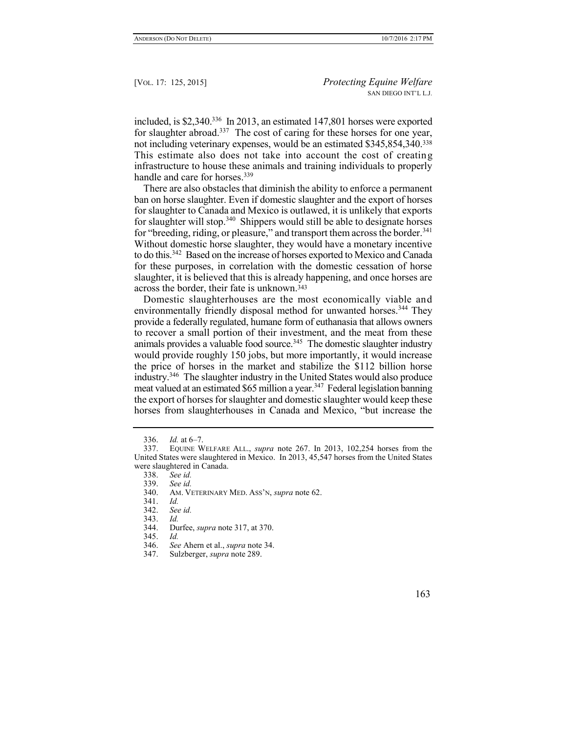included, is \$2,340.<sup>336</sup> In 2013, an estimated 147,801 horses were exported for slaughter abroad.<sup>337</sup> The cost of caring for these horses for one year, not including veterinary expenses, would be an estimated \$345,854,340.<sup>338</sup> This estimate also does not take into account the cost of creating infrastructure to house these animals and training individuals to properly handle and care for horses.<sup>339</sup>

There are also obstacles that diminish the ability to enforce a permanent ban on horse slaughter. Even if domestic slaughter and the export of horses for slaughter to Canada and Mexico is outlawed, it is unlikely that exports for slaughter will stop.<sup>340</sup> Shippers would still be able to designate horses for "breeding, riding, or pleasure," and transport them across the border.<sup>341</sup> Without domestic horse slaughter, they would have a monetary incentive to do this.<sup>342</sup> Based on the increase of horses exported to Mexico and Canada for these purposes, in correlation with the domestic cessation of horse slaughter, it is believed that this is already happening, and once horses are across the border, their fate is unknown.<sup>343</sup>

Domestic slaughterhouses are the most economically viable and environmentally friendly disposal method for unwanted horses.<sup>344</sup> They provide a federally regulated, humane form of euthanasia that allows owners to recover a small portion of their investment, and the meat from these animals provides a valuable food source.<sup>345</sup> The domestic slaughter industry would provide roughly 150 jobs, but more importantly, it would increase the price of horses in the market and stabilize the \$112 billion horse industry.<sup>346</sup> The slaughter industry in the United States would also produce meat valued at an estimated \$65 million a year.<sup>347</sup> Federal legislation banning the export of horses for slaughter and domestic slaughter would keep these horses from slaughterhouses in Canada and Mexico, "but increase the

<sup>336.</sup> *Id.* at 6–7.

<sup>337.</sup> EQUINE WELFARE ALL., *supra* note 267. In 2013, 102,254 horses from the United States were slaughtered in Mexico. In 2013, 45,547 horses from the United States were slaughtered in Canada.<br>338. See id.

<sup>338.</sup> *See id.*

<sup>339.</sup> *See id.*

<sup>340.</sup> AM. VETERINARY MED. ASS'N, *supra* note 62.

<sup>341.</sup> *Id.*

<sup>342.</sup> *See id.*

<sup>343.</sup> *Id.*

<sup>344.</sup> Durfee, *supra* note 317, at 370.

<sup>345.</sup> *Id.*

<sup>346.</sup> *See* Ahern et al., *supra* note 34.

<sup>347.</sup> Sulzberger, *supra* note 289.